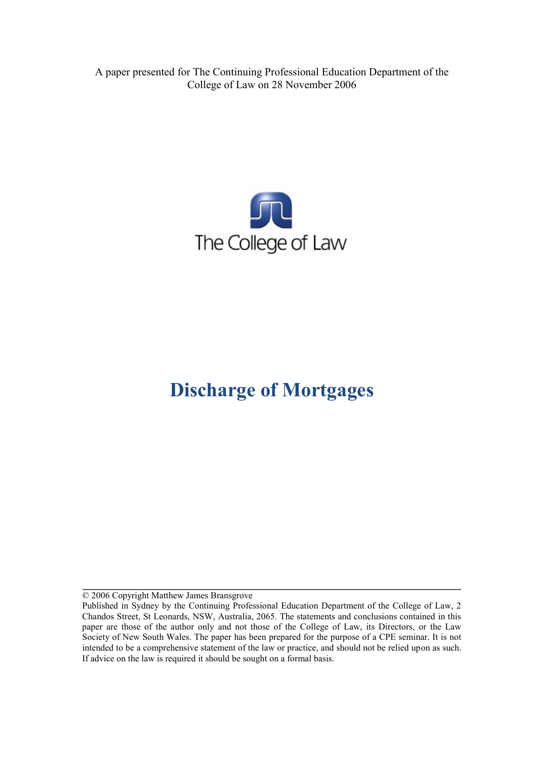A paper presented for The Continuing Professional Education Department of the College of Law on 28 November 2006



# **Discharge of Mortgages**

© 2006 Copyright Matthew James Bransgrove

**\_\_\_\_\_\_\_\_\_\_\_\_\_\_\_\_\_\_\_\_\_\_\_\_\_\_\_\_\_\_\_\_\_\_\_\_\_\_\_\_\_\_\_\_\_\_\_\_\_\_\_\_\_\_\_\_\_\_\_\_\_\_\_\_\_\_\_\_\_**

Published in Sydney by the Continuing Professional Education Department of the College of Law, 2 Chandos Street, St Leonards, NSW, Australia, 2065. The statements and conclusions contained in this paper are those of the author only and not those of the College of Law, its Directors, or the Law Society of New South Wales. The paper has been prepared for the purpose of a CPE seminar. It is not intended to be a comprehensive statement of the law or practice, and should not be relied upon as such. If advice on the law is required it should be sought on a formal basis.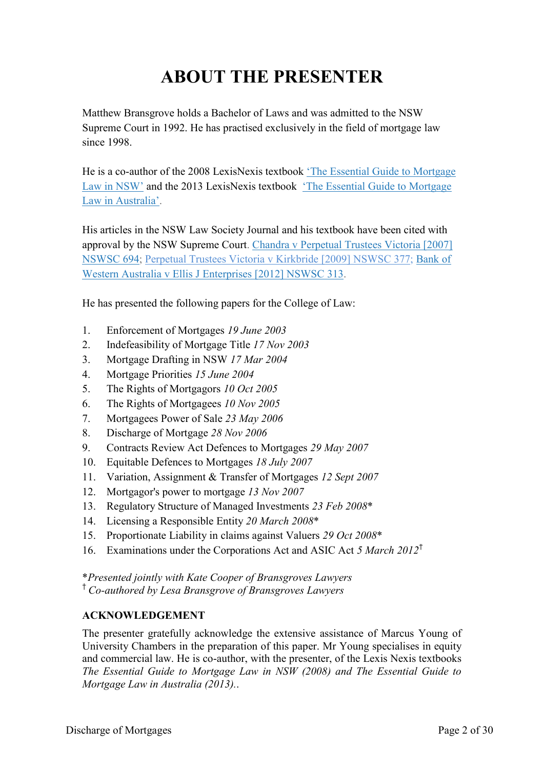# **ABOUT THE PRESENTER**

Matthew Bransgrove holds a Bachelor of Laws and was admitted to the NSW Supreme Court in 1992. He has practised exclusively in the field of mortgage law since 1998.

He is a co-author of the 2008 LexisNexis textbook ['The Essential Guide to Mortgage](http://www.bransgroves.com.au/documents/PDF/Book/OrderForm3LR.pdf) [Law in](http://www.bransgroves.com.au/documents/PDF/Book/OrderForm3LR.pdf) NSW' and the 2013 LexisNexis textbook ['The Essential Guide to Mortgage](http://www.bransgroves.com.au/documents/PDF/Book/EGMLA2ndEdition.pdf) Law in [Australia'.](http://www.bransgroves.com.au/documents/PDF/Book/EGMLA2ndEdition.pdf)

His articles in the NSW Law Society Journal and his textbook have been cited with approval by the NSW Supreme Court. [Chandra v Perpetual Trustees Victoria \[2007\]](http://www.austlii.edu.au/au/cases/nsw/NSWSC/2007/694.html) [NSWSC 694;](http://www.austlii.edu.au/au/cases/nsw/NSWSC/2007/694.html) [Perpetual Trustees Victoria v Kirkbride \[2009\] NSWSC 377;](http://www.austlii.edu.au/au/cases/nsw/NSWSC/2009/377.html) [Bank](http://www.austlii.edu.au/au/cases/nsw/NSWSC/2012/313.html) of [Western Australia v Ellis J Enterprises](http://www.austlii.edu.au/au/cases/nsw/NSWSC/2012/313.html) [2012] NSWSC 313.

He has presented the following papers for the College of Law:

- 1. Enforcement of Mortgages *19 June 2003*
- 2. Indefeasibility of Mortgage Title *17 Nov 2003*
- 3. Mortgage Drafting in NSW *17 Mar 2004*
- 4. Mortgage Priorities *15 June 2004*
- 5. The Rights of Mortgagors *10 Oct 2005*
- 6. The Rights of Mortgagees *10 Nov 2005*
- 7. Mortgagees Power of Sale *23 May 2006*
- 8. Discharge of Mortgage *28 Nov 2006*
- 9. Contracts Review Act Defences to Mortgages *29 May 2007*
- 10. Equitable Defences to Mortgages *18 July 2007*
- 11. Variation, Assignment & Transfer of Mortgages *12 Sept 2007*
- 12. Mortgagor's power to mortgage *13 Nov 2007*
- 13. Regulatory Structure of Managed Investments *23 Feb 2008*\*
- 14. Licensing a Responsible Entity *20 March 2008*\*
- 15. Proportionate Liability in claims against Valuers *29 Oct 2008*\*
- 16. Examinations under the Corporations Act and ASIC Act *5 March 2012*†

\**Presented jointly with Kate Cooper of Bransgroves Lawyers*

† *Co-authored by Lesa Bransgrove of Bransgroves Lawyers*

#### **ACKNOWLEDGEMENT**

The presenter gratefully acknowledge the extensive assistance of Marcus Young of University Chambers in the preparation of this paper. Mr Young specialises in equity and commercial law. He is co-author, with the presenter, of the Lexis Nexis textbooks *The Essential Guide to Mortgage Law in NSW (2008) and The Essential Guide to Mortgage Law in Australia (2013).*.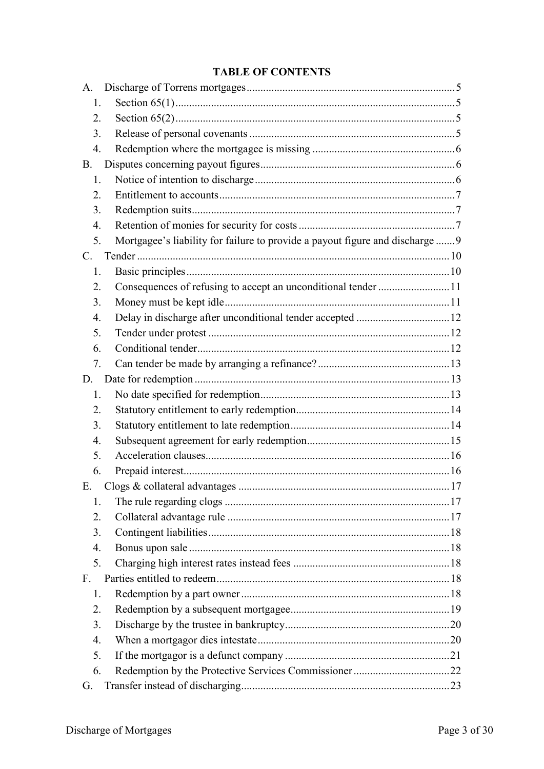## **TABLE OF CONTENTS**

| A.                                                                                  |  |
|-------------------------------------------------------------------------------------|--|
| 1.                                                                                  |  |
| 2.                                                                                  |  |
| 3.                                                                                  |  |
| $\overline{4}$ .                                                                    |  |
| <b>B.</b>                                                                           |  |
| 1.                                                                                  |  |
| 2.                                                                                  |  |
| 3.                                                                                  |  |
| 4.                                                                                  |  |
| Mortgagee's liability for failure to provide a payout figure and discharge  9<br>5. |  |
| $\mathbf{C}$ .                                                                      |  |
| 1.                                                                                  |  |
| 2.                                                                                  |  |
| 3.                                                                                  |  |
| 4.                                                                                  |  |
| 5.                                                                                  |  |
| 6.                                                                                  |  |
| 7.                                                                                  |  |
| D.                                                                                  |  |
| 1.                                                                                  |  |
| 2.                                                                                  |  |
| 3.                                                                                  |  |
| 4.                                                                                  |  |
| 5.                                                                                  |  |
| 6.                                                                                  |  |
| Ε.                                                                                  |  |
| 1.                                                                                  |  |
| 2.                                                                                  |  |
| 3.                                                                                  |  |
| 4.                                                                                  |  |
| 5.                                                                                  |  |
| $F_{\cdot}$                                                                         |  |
| 1.                                                                                  |  |
| 2.                                                                                  |  |
| 3.                                                                                  |  |
| 4.                                                                                  |  |
| 5.                                                                                  |  |
| 6.                                                                                  |  |
| G.                                                                                  |  |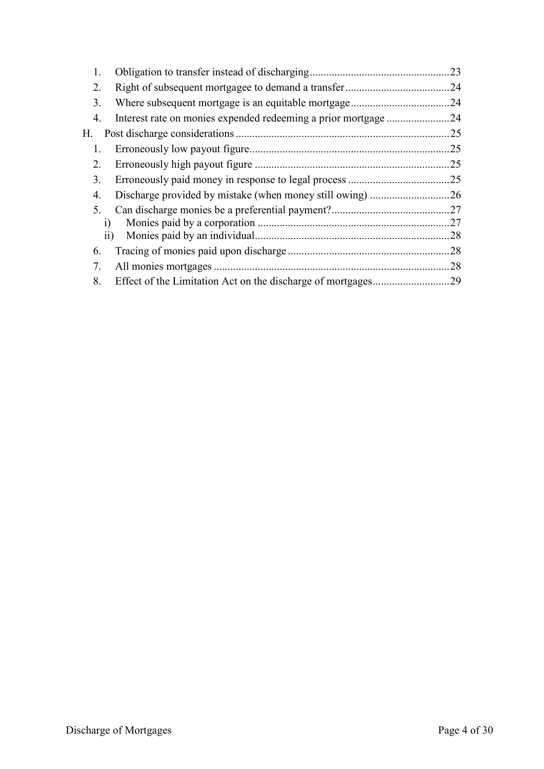| 1.     |                                                             | .23 |
|--------|-------------------------------------------------------------|-----|
| 2.     |                                                             | .24 |
| 3.     |                                                             | .24 |
| 4.     | Interest rate on monies expended redeeming a prior mortgage | .24 |
| Н.     |                                                             | 25  |
| 1.     |                                                             | 25  |
| 2.     |                                                             | 25  |
| 3.     |                                                             | .25 |
| 4.     |                                                             |     |
| 5.     |                                                             | .27 |
| $_{1}$ |                                                             | .27 |
|        | 11)                                                         | .28 |
| 6.     |                                                             | .28 |
| 7.     |                                                             | .28 |
| 8.     |                                                             | .29 |
|        |                                                             |     |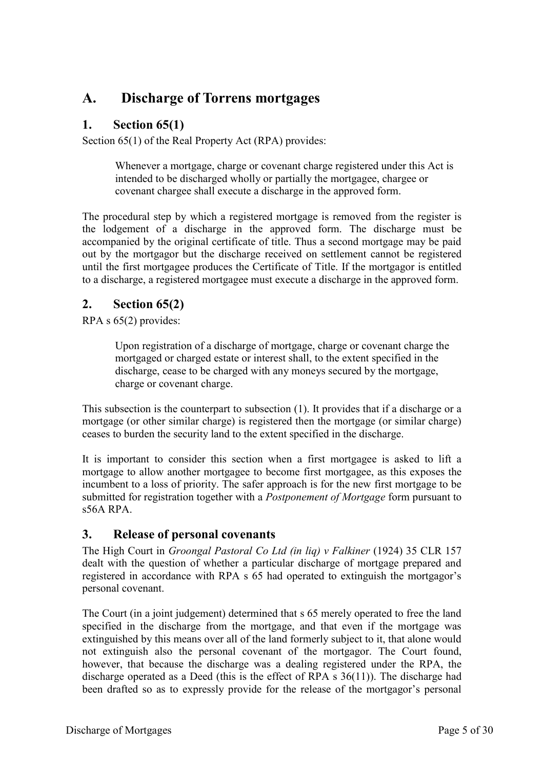# <span id="page-4-0"></span>**A. Discharge of Torrens mortgages**

## <span id="page-4-1"></span>**1. Section 65(1)**

Section 65(1) of the Real Property Act (RPA) provides:

Whenever a mortgage, charge or covenant charge registered under this Act is intended to be discharged wholly or partially the mortgagee, chargee or covenant chargee shall execute a discharge in the approved form.

The procedural step by which a registered mortgage is removed from the register is the lodgement of a discharge in the approved form. The discharge must be accompanied by the original certificate of title. Thus a second mortgage may be paid out by the mortgagor but the discharge received on settlement cannot be registered until the first mortgagee produces the Certificate of Title. If the mortgagor is entitled to a discharge, a registered mortgagee must execute a discharge in the approved form.

## <span id="page-4-2"></span>**2. Section 65(2)**

RPA s 65(2) provides:

Upon registration of a discharge of mortgage, charge or covenant charge the mortgaged or charged estate or interest shall, to the extent specified in the discharge, cease to be charged with any moneys secured by the mortgage, charge or covenant charge.

This subsection is the counterpart to subsection (1). It provides that if a discharge or a mortgage (or other similar charge) is registered then the mortgage (or similar charge) ceases to burden the security land to the extent specified in the discharge.

It is important to consider this section when a first mortgagee is asked to lift a mortgage to allow another mortgagee to become first mortgagee, as this exposes the incumbent to a loss of priority. The safer approach is for the new first mortgage to be submitted for registration together with a *Postponement of Mortgage* form pursuant to  $s56A$  RPA.

## <span id="page-4-3"></span>**3. Release of personal covenants**

The High Court in *Groongal Pastoral Co Ltd (in liq) v Falkiner* (1924) 35 CLR 157 dealt with the question of whether a particular discharge of mortgage prepared and registered in accordance with RPA s 65 had operated to extinguish the mortgagor's personal covenant.

The Court (in a joint judgement) determined that s 65 merely operated to free the land specified in the discharge from the mortgage, and that even if the mortgage was extinguished by this means over all of the land formerly subject to it, that alone would not extinguish also the personal covenant of the mortgagor. The Court found, however, that because the discharge was a dealing registered under the RPA, the discharge operated as a Deed (this is the effect of RPA s 36(11)). The discharge had been drafted so as to expressly provide for the release of the mortgagor's personal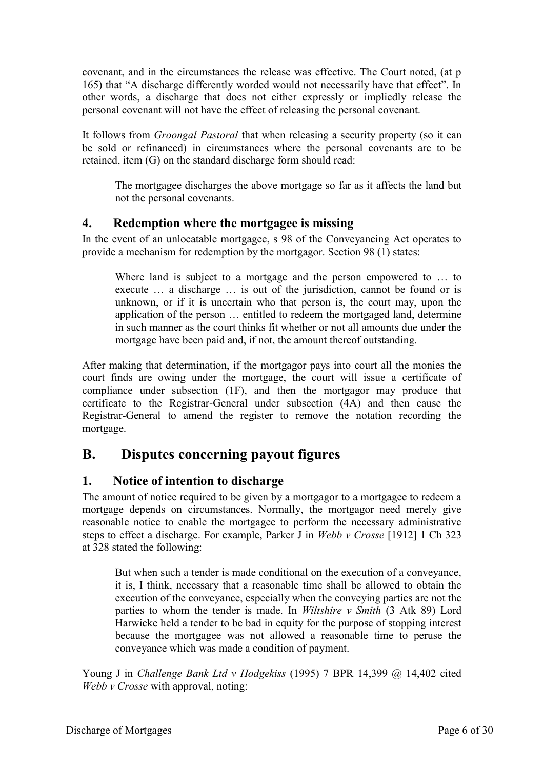covenant, and in the circumstances the release was effective. The Court noted, (at p 165) that "A discharge differently worded would not necessarily have that effect". In other words, a discharge that does not either expressly or impliedly release the personal covenant will not have the effect of releasing the personal covenant.

It follows from *Groongal Pastoral* that when releasing a security property (so it can be sold or refinanced) in circumstances where the personal covenants are to be retained, item (G) on the standard discharge form should read:

The mortgagee discharges the above mortgage so far as it affects the land but not the personal covenants.

#### <span id="page-5-0"></span>**4. Redemption where the mortgagee is missing**

In the event of an unlocatable mortgagee, s 98 of the Conveyancing Act operates to provide a mechanism for redemption by the mortgagor. Section 98 (1) states:

Where land is subject to a mortgage and the person empowered to … to execute … a discharge … is out of the jurisdiction, cannot be found or is unknown, or if it is uncertain who that person is, the court may, upon the application of the person … entitled to redeem the mortgaged land, determine in such manner as the court thinks fit whether or not all amounts due under the mortgage have been paid and, if not, the amount thereof outstanding.

After making that determination, if the mortgagor pays into court all the monies the court finds are owing under the mortgage, the court will issue a certificate of compliance under subsection (1F), and then the mortgagor may produce that certificate to the Registrar-General under subsection (4A) and then cause the Registrar-General to amend the register to remove the notation recording the mortgage.

# <span id="page-5-1"></span>**B. Disputes concerning payout figures**

## <span id="page-5-2"></span>**1. Notice of intention to discharge**

The amount of notice required to be given by a mortgagor to a mortgagee to redeem a mortgage depends on circumstances. Normally, the mortgagor need merely give reasonable notice to enable the mortgagee to perform the necessary administrative steps to effect a discharge. For example, Parker J in *Webb v Crosse* [1912] 1 Ch 323 at 328 stated the following:

But when such a tender is made conditional on the execution of a conveyance, it is, I think, necessary that a reasonable time shall be allowed to obtain the execution of the conveyance, especially when the conveying parties are not the parties to whom the tender is made. In *Wiltshire v Smith* (3 Atk 89) Lord Harwicke held a tender to be bad in equity for the purpose of stopping interest because the mortgagee was not allowed a reasonable time to peruse the conveyance which was made a condition of payment.

Young J in *Challenge Bank Ltd v Hodgekiss* (1995) 7 BPR 14,399 @ 14,402 cited *Webb v Crosse* with approval, noting: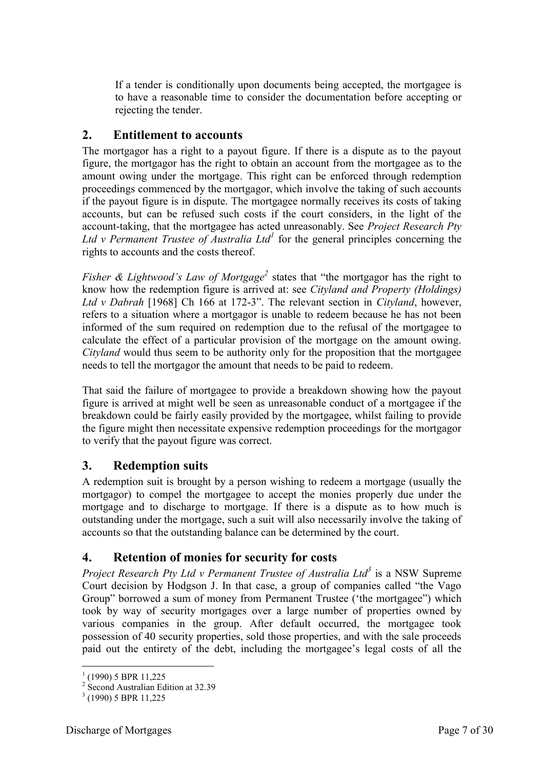If a tender is conditionally upon documents being accepted, the mortgagee is to have a reasonable time to consider the documentation before accepting or rejecting the tender.

## <span id="page-6-0"></span>**2. Entitlement to accounts**

The mortgagor has a right to a payout figure. If there is a dispute as to the payout figure, the mortgagor has the right to obtain an account from the mortgagee as to the amount owing under the mortgage. This right can be enforced through redemption proceedings commenced by the mortgagor, which involve the taking of such accounts if the payout figure is in dispute. The mortgagee normally receives its costs of taking accounts, but can be refused such costs if the court considers, in the light of the account-taking, that the mortgagee has acted unreasonably. See *Project Research Pty*  Ltd v Permanent Trustee of Australia Ltd<sup>1</sup> for the general principles concerning the rights to accounts and the costs thereof.

*Fisher & Lightwood's Law of Mortgage*<sup>2</sup> states that "the mortgagor has the right to know how the redemption figure is arrived at: see *Cityland and Property (Holdings) Ltd v Dabrah* [1968] Ch 166 at 172-3". The relevant section in *Cityland*, however, refers to a situation where a mortgagor is unable to redeem because he has not been informed of the sum required on redemption due to the refusal of the mortgagee to calculate the effect of a particular provision of the mortgage on the amount owing. *Cityland* would thus seem to be authority only for the proposition that the mortgagee needs to tell the mortgagor the amount that needs to be paid to redeem.

That said the failure of mortgagee to provide a breakdown showing how the payout figure is arrived at might well be seen as unreasonable conduct of a mortgagee if the breakdown could be fairly easily provided by the mortgagee, whilst failing to provide the figure might then necessitate expensive redemption proceedings for the mortgagor to verify that the payout figure was correct.

## <span id="page-6-1"></span>**3. Redemption suits**

A redemption suit is brought by a person wishing to redeem a mortgage (usually the mortgagor) to compel the mortgagee to accept the monies properly due under the mortgage and to discharge to mortgage. If there is a dispute as to how much is outstanding under the mortgage, such a suit will also necessarily involve the taking of accounts so that the outstanding balance can be determined by the court.

## <span id="page-6-2"></span>**4. Retention of monies for security for costs**

*Project Research Pty Ltd v Permanent Trustee of Australia Ltd<sup>3</sup>* is a NSW Supreme Court decision by Hodgson J. In that case, a group of companies called "the Vago Group" borrowed a sum of money from Permanent Trustee ('the mortgagee") which took by way of security mortgages over a large number of properties owned by various companies in the group. After default occurred, the mortgagee took possession of 40 security properties, sold those properties, and with the sale proceeds paid out the entirety of the debt, including the mortgagee's legal costs of all the

 1 (1990) 5 BPR 11,225

<sup>2</sup> Second Australian Edition at 32.39

<sup>&</sup>lt;sup>3</sup> (1990) 5 BPR 11,225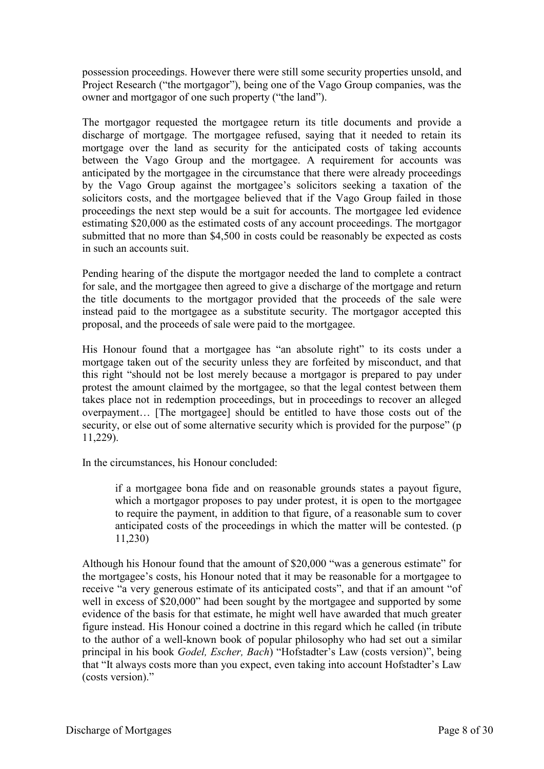possession proceedings. However there were still some security properties unsold, and Project Research ("the mortgagor"), being one of the Vago Group companies, was the owner and mortgagor of one such property ("the land").

The mortgagor requested the mortgagee return its title documents and provide a discharge of mortgage. The mortgagee refused, saying that it needed to retain its mortgage over the land as security for the anticipated costs of taking accounts between the Vago Group and the mortgagee. A requirement for accounts was anticipated by the mortgagee in the circumstance that there were already proceedings by the Vago Group against the mortgagee's solicitors seeking a taxation of the solicitors costs, and the mortgagee believed that if the Vago Group failed in those proceedings the next step would be a suit for accounts. The mortgagee led evidence estimating \$20,000 as the estimated costs of any account proceedings. The mortgagor submitted that no more than \$4,500 in costs could be reasonably be expected as costs in such an accounts suit.

Pending hearing of the dispute the mortgagor needed the land to complete a contract for sale, and the mortgagee then agreed to give a discharge of the mortgage and return the title documents to the mortgagor provided that the proceeds of the sale were instead paid to the mortgagee as a substitute security. The mortgagor accepted this proposal, and the proceeds of sale were paid to the mortgagee.

His Honour found that a mortgagee has "an absolute right" to its costs under a mortgage taken out of the security unless they are forfeited by misconduct, and that this right "should not be lost merely because a mortgagor is prepared to pay under protest the amount claimed by the mortgagee, so that the legal contest between them takes place not in redemption proceedings, but in proceedings to recover an alleged overpayment… [The mortgagee] should be entitled to have those costs out of the security, or else out of some alternative security which is provided for the purpose" (p 11,229).

In the circumstances, his Honour concluded:

if a mortgagee bona fide and on reasonable grounds states a payout figure, which a mortgagor proposes to pay under protest, it is open to the mortgagee to require the payment, in addition to that figure, of a reasonable sum to cover anticipated costs of the proceedings in which the matter will be contested. (p 11,230)

Although his Honour found that the amount of \$20,000 "was a generous estimate" for the mortgagee's costs, his Honour noted that it may be reasonable for a mortgagee to receive "a very generous estimate of its anticipated costs", and that if an amount "of well in excess of \$20,000" had been sought by the mortgagee and supported by some evidence of the basis for that estimate, he might well have awarded that much greater figure instead. His Honour coined a doctrine in this regard which he called (in tribute to the author of a well-known book of popular philosophy who had set out a similar principal in his book *Godel, Escher, Bach*) "Hofstadter's Law (costs version)", being that "It always costs more than you expect, even taking into account Hofstadter's Law (costs version)."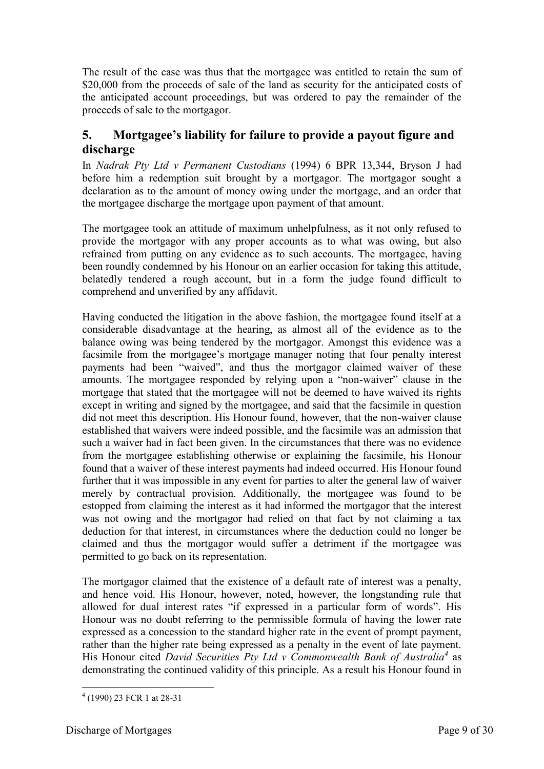The result of the case was thus that the mortgagee was entitled to retain the sum of \$20,000 from the proceeds of sale of the land as security for the anticipated costs of the anticipated account proceedings, but was ordered to pay the remainder of the proceeds of sale to the mortgagor.

## <span id="page-8-0"></span>**5. Mortgagee's liability for failure to provide a payout figure and discharge**

In *Nadrak Pty Ltd v Permanent Custodians* (1994) 6 BPR 13,344, Bryson J had before him a redemption suit brought by a mortgagor. The mortgagor sought a declaration as to the amount of money owing under the mortgage, and an order that the mortgagee discharge the mortgage upon payment of that amount.

The mortgagee took an attitude of maximum unhelpfulness, as it not only refused to provide the mortgagor with any proper accounts as to what was owing, but also refrained from putting on any evidence as to such accounts. The mortgagee, having been roundly condemned by his Honour on an earlier occasion for taking this attitude, belatedly tendered a rough account, but in a form the judge found difficult to comprehend and unverified by any affidavit.

Having conducted the litigation in the above fashion, the mortgagee found itself at a considerable disadvantage at the hearing, as almost all of the evidence as to the balance owing was being tendered by the mortgagor. Amongst this evidence was a facsimile from the mortgagee's mortgage manager noting that four penalty interest payments had been "waived", and thus the mortgagor claimed waiver of these amounts. The mortgagee responded by relying upon a "non-waiver" clause in the mortgage that stated that the mortgagee will not be deemed to have waived its rights except in writing and signed by the mortgagee, and said that the facsimile in question did not meet this description. His Honour found, however, that the non-waiver clause established that waivers were indeed possible, and the facsimile was an admission that such a waiver had in fact been given. In the circumstances that there was no evidence from the mortgagee establishing otherwise or explaining the facsimile, his Honour found that a waiver of these interest payments had indeed occurred. His Honour found further that it was impossible in any event for parties to alter the general law of waiver merely by contractual provision. Additionally, the mortgagee was found to be estopped from claiming the interest as it had informed the mortgagor that the interest was not owing and the mortgagor had relied on that fact by not claiming a tax deduction for that interest, in circumstances where the deduction could no longer be claimed and thus the mortgagor would suffer a detriment if the mortgagee was permitted to go back on its representation.

The mortgagor claimed that the existence of a default rate of interest was a penalty, and hence void. His Honour, however, noted, however, the longstanding rule that allowed for dual interest rates "if expressed in a particular form of words". His Honour was no doubt referring to the permissible formula of having the lower rate expressed as a concession to the standard higher rate in the event of prompt payment, rather than the higher rate being expressed as a penalty in the event of late payment. His Honour cited *David Securities Pty Ltd v Commonwealth Bank of Australia<sup>4</sup>* as demonstrating the continued validity of this principle. As a result his Honour found in

<sup>-</sup>4 (1990) 23 FCR 1 at 28-31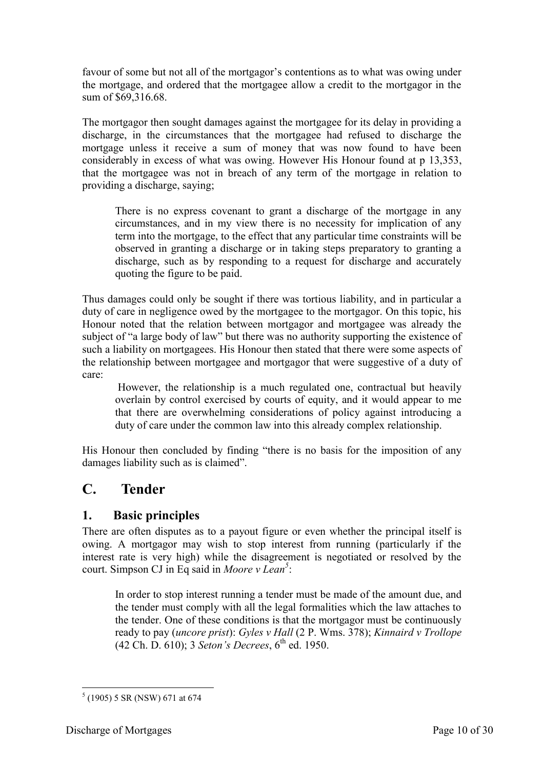favour of some but not all of the mortgagor's contentions as to what was owing under the mortgage, and ordered that the mortgagee allow a credit to the mortgagor in the sum of \$69,316.68.

The mortgagor then sought damages against the mortgagee for its delay in providing a discharge, in the circumstances that the mortgagee had refused to discharge the mortgage unless it receive a sum of money that was now found to have been considerably in excess of what was owing. However His Honour found at p 13,353, that the mortgagee was not in breach of any term of the mortgage in relation to providing a discharge, saying;

There is no express covenant to grant a discharge of the mortgage in any circumstances, and in my view there is no necessity for implication of any term into the mortgage, to the effect that any particular time constraints will be observed in granting a discharge or in taking steps preparatory to granting a discharge, such as by responding to a request for discharge and accurately quoting the figure to be paid.

Thus damages could only be sought if there was tortious liability, and in particular a duty of care in negligence owed by the mortgagee to the mortgagor. On this topic, his Honour noted that the relation between mortgagor and mortgagee was already the subject of "a large body of law" but there was no authority supporting the existence of such a liability on mortgagees. His Honour then stated that there were some aspects of the relationship between mortgagee and mortgagor that were suggestive of a duty of care:

However, the relationship is a much regulated one, contractual but heavily overlain by control exercised by courts of equity, and it would appear to me that there are overwhelming considerations of policy against introducing a duty of care under the common law into this already complex relationship.

His Honour then concluded by finding "there is no basis for the imposition of any damages liability such as is claimed".

# <span id="page-9-0"></span>**C. Tender**

## <span id="page-9-1"></span>**1. Basic principles**

There are often disputes as to a payout figure or even whether the principal itself is owing. A mortgagor may wish to stop interest from running (particularly if the interest rate is very high) while the disagreement is negotiated or resolved by the court. Simpson CJ in Eq said in *Moore v Lean<sup>5</sup>* :

In order to stop interest running a tender must be made of the amount due, and the tender must comply with all the legal formalities which the law attaches to the tender. One of these conditions is that the mortgagor must be continuously ready to pay (*uncore prist*): *Gyles v Hall* (2 P. Wms. 378); *Kinnaird v Trollope* (42 Ch. D. 610); 3 *Seton's Decrees*, 6th ed. 1950.

 5 (1905) 5 SR (NSW) 671 at 674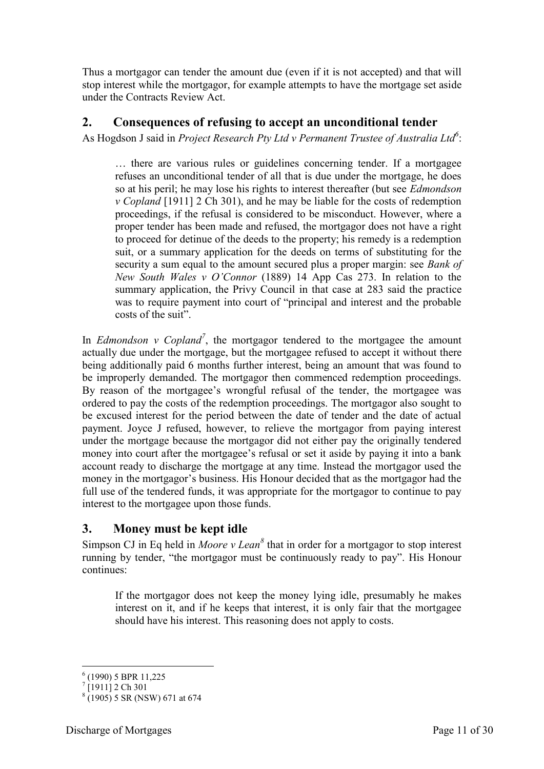Thus a mortgagor can tender the amount due (even if it is not accepted) and that will stop interest while the mortgagor, for example attempts to have the mortgage set aside under the Contracts Review Act.

## <span id="page-10-0"></span>**2. Consequences of refusing to accept an unconditional tender**

As Hogdson J said in *Project Research Pty Ltd v Permanent Trustee of Australia Ltd<sup>6</sup>* :

… there are various rules or guidelines concerning tender. If a mortgagee refuses an unconditional tender of all that is due under the mortgage, he does so at his peril; he may lose his rights to interest thereafter (but see *Edmondson v Copland* [1911] 2 Ch 301), and he may be liable for the costs of redemption proceedings, if the refusal is considered to be misconduct. However, where a proper tender has been made and refused, the mortgagor does not have a right to proceed for detinue of the deeds to the property; his remedy is a redemption suit, or a summary application for the deeds on terms of substituting for the security a sum equal to the amount secured plus a proper margin: see *Bank of New South Wales v O'Connor* (1889) 14 App Cas 273. In relation to the summary application, the Privy Council in that case at 283 said the practice was to require payment into court of "principal and interest and the probable costs of the suit".

In *Edmondson v Copland<sup>7</sup>* , the mortgagor tendered to the mortgagee the amount actually due under the mortgage, but the mortgagee refused to accept it without there being additionally paid 6 months further interest, being an amount that was found to be improperly demanded. The mortgagor then commenced redemption proceedings. By reason of the mortgagee's wrongful refusal of the tender, the mortgagee was ordered to pay the costs of the redemption proceedings. The mortgagor also sought to be excused interest for the period between the date of tender and the date of actual payment. Joyce J refused, however, to relieve the mortgagor from paying interest under the mortgage because the mortgagor did not either pay the originally tendered money into court after the mortgagee's refusal or set it aside by paying it into a bank account ready to discharge the mortgage at any time. Instead the mortgagor used the money in the mortgagor's business. His Honour decided that as the mortgagor had the full use of the tendered funds, it was appropriate for the mortgagor to continue to pay interest to the mortgagee upon those funds.

## <span id="page-10-1"></span>**3. Money must be kept idle**

Simpson CJ in Eq held in *Moore v Lean*<sup>8</sup> that in order for a mortgagor to stop interest running by tender, "the mortgagor must be continuously ready to pay". His Honour continues:

If the mortgagor does not keep the money lying idle, presumably he makes interest on it, and if he keeps that interest, it is only fair that the mortgagee should have his interest. This reasoning does not apply to costs.

 6 (1990) 5 BPR 11,225 7 [1911] 2 Ch 301

<sup>8</sup> (1905) 5 SR (NSW) 671 at 674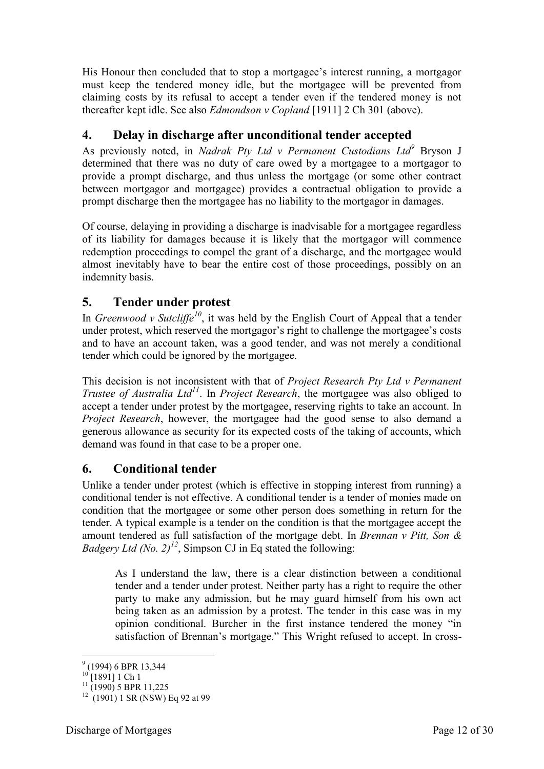His Honour then concluded that to stop a mortgagee's interest running, a mortgagor must keep the tendered money idle, but the mortgagee will be prevented from claiming costs by its refusal to accept a tender even if the tendered money is not thereafter kept idle. See also *Edmondson v Copland* [1911] 2 Ch 301 (above).

## <span id="page-11-0"></span>**4. Delay in discharge after unconditional tender accepted**

As previously noted, in *Nadrak Pty Ltd v Permanent Custodians Ltd<sup>9</sup>* Bryson J determined that there was no duty of care owed by a mortgagee to a mortgagor to provide a prompt discharge, and thus unless the mortgage (or some other contract between mortgagor and mortgagee) provides a contractual obligation to provide a prompt discharge then the mortgagee has no liability to the mortgagor in damages.

Of course, delaying in providing a discharge is inadvisable for a mortgagee regardless of its liability for damages because it is likely that the mortgagor will commence redemption proceedings to compel the grant of a discharge, and the mortgagee would almost inevitably have to bear the entire cost of those proceedings, possibly on an indemnity basis.

## <span id="page-11-1"></span>**5. Tender under protest**

In *Greenwood v Sutcliffe<sup>10</sup>*, it was held by the English Court of Appeal that a tender under protest, which reserved the mortgagor's right to challenge the mortgagee's costs and to have an account taken, was a good tender, and was not merely a conditional tender which could be ignored by the mortgagee.

This decision is not inconsistent with that of *Project Research Pty Ltd v Permanent Trustee of Australia Ltd<sup>11</sup>*. In *Project Research*, the mortgagee was also obliged to accept a tender under protest by the mortgagee, reserving rights to take an account. In *Project Research*, however, the mortgagee had the good sense to also demand a generous allowance as security for its expected costs of the taking of accounts, which demand was found in that case to be a proper one.

## <span id="page-11-2"></span>**6. Conditional tender**

Unlike a tender under protest (which is effective in stopping interest from running) a conditional tender is not effective. A conditional tender is a tender of monies made on condition that the mortgagee or some other person does something in return for the tender. A typical example is a tender on the condition is that the mortgagee accept the amount tendered as full satisfaction of the mortgage debt. In *Brennan v Pitt, Son & Badgery Ltd (No. 2)<sup>* $12$ *</sup>*, Simpson CJ in Eq stated the following:

As I understand the law, there is a clear distinction between a conditional tender and a tender under protest. Neither party has a right to require the other party to make any admission, but he may guard himself from his own act being taken as an admission by a protest. The tender in this case was in my opinion conditional. Burcher in the first instance tendered the money "in satisfaction of Brennan's mortgage." This Wright refused to accept. In cross-

-

 $^{9}$  (1994) 6 BPR 13,344

 $\Gamma$ [1891] 1 Ch 1

 $^{11}$  (1990) 5 BPR 11,225

<sup>12</sup> (1901) 1 SR (NSW) Eq 92 at 99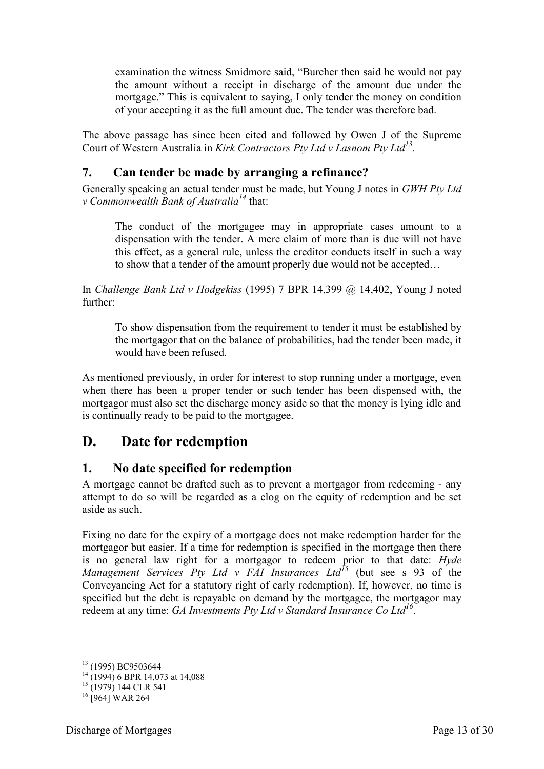examination the witness Smidmore said, "Burcher then said he would not pay the amount without a receipt in discharge of the amount due under the mortgage." This is equivalent to saying. I only tender the money on condition of your accepting it as the full amount due. The tender was therefore bad.

The above passage has since been cited and followed by Owen J of the Supreme Court of Western Australia in *Kirk Contractors Pty Ltd v Lasnom Pty Ltd<sup>13</sup> .* 

## <span id="page-12-0"></span>**7. Can tender be made by arranging a refinance?**

Generally speaking an actual tender must be made, but Young J notes in *GWH Pty Ltd v Commonwealth Bank of Australia<sup>14</sup>* that:

The conduct of the mortgagee may in appropriate cases amount to a dispensation with the tender. A mere claim of more than is due will not have this effect, as a general rule, unless the creditor conducts itself in such a way to show that a tender of the amount properly due would not be accepted…

In *Challenge Bank Ltd v Hodgekiss* (1995) 7 BPR 14,399 @ 14,402, Young J noted further:

To show dispensation from the requirement to tender it must be established by the mortgagor that on the balance of probabilities, had the tender been made, it would have been refused.

As mentioned previously, in order for interest to stop running under a mortgage, even when there has been a proper tender or such tender has been dispensed with, the mortgagor must also set the discharge money aside so that the money is lying idle and is continually ready to be paid to the mortgagee.

# <span id="page-12-1"></span>**D. Date for redemption**

## <span id="page-12-2"></span>**1. No date specified for redemption**

A mortgage cannot be drafted such as to prevent a mortgagor from redeeming - any attempt to do so will be regarded as a clog on the equity of redemption and be set aside as such.

Fixing no date for the expiry of a mortgage does not make redemption harder for the mortgagor but easier. If a time for redemption is specified in the mortgage then there is no general law right for a mortgagor to redeem prior to that date: *Hyde Management Services Pty Ltd v FAI Insurances Ltd<sup>15</sup>* (but see s 93 of the Conveyancing Act for a statutory right of early redemption). If, however, no time is specified but the debt is repayable on demand by the mortgagee, the mortgagor may redeem at any time: *GA Investments Pty Ltd v Standard Insurance Co Ltd<sup>16</sup>* .

-

<sup>&</sup>lt;sup>13</sup> (1995) BC9503644

 $^{14}$  (1994) 6 BPR 14,073 at 14,088

 $^{15}$  (1979) 144 CLR 541

 $16$  [964] WAR 264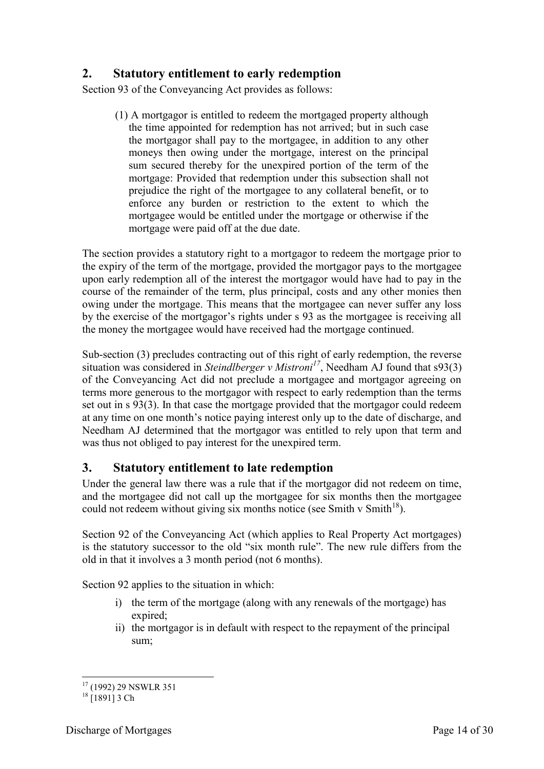## <span id="page-13-0"></span>**2. Statutory entitlement to early redemption**

Section 93 of the Conveyancing Act provides as follows:

(1) A mortgagor is entitled to redeem the mortgaged property although the time appointed for redemption has not arrived; but in such case the mortgagor shall pay to the mortgagee, in addition to any other moneys then owing under the mortgage, interest on the principal sum secured thereby for the unexpired portion of the term of the mortgage: Provided that redemption under this subsection shall not prejudice the right of the mortgagee to any collateral benefit, or to enforce any burden or restriction to the extent to which the mortgagee would be entitled under the mortgage or otherwise if the mortgage were paid off at the due date.

The section provides a statutory right to a mortgagor to redeem the mortgage prior to the expiry of the term of the mortgage, provided the mortgagor pays to the mortgagee upon early redemption all of the interest the mortgagor would have had to pay in the course of the remainder of the term, plus principal, costs and any other monies then owing under the mortgage. This means that the mortgagee can never suffer any loss by the exercise of the mortgagor's rights under s 93 as the mortgagee is receiving all the money the mortgagee would have received had the mortgage continued.

Sub-section (3) precludes contracting out of this right of early redemption, the reverse situation was considered in *Steindlberger v Mistroni<sup>17</sup>*, Needham AJ found that s93(3) of the Conveyancing Act did not preclude a mortgagee and mortgagor agreeing on terms more generous to the mortgagor with respect to early redemption than the terms set out in s 93(3). In that case the mortgage provided that the mortgagor could redeem at any time on one month's notice paying interest only up to the date of discharge, and Needham AJ determined that the mortgagor was entitled to rely upon that term and was thus not obliged to pay interest for the unexpired term.

## <span id="page-13-1"></span>**3. Statutory entitlement to late redemption**

Under the general law there was a rule that if the mortgagor did not redeem on time, and the mortgagee did not call up the mortgagee for six months then the mortgagee could not redeem without giving six months notice (see Smith v Smith<sup>18</sup>).

Section 92 of the Conveyancing Act (which applies to Real Property Act mortgages) is the statutory successor to the old "six month rule". The new rule differs from the old in that it involves a 3 month period (not 6 months).

Section 92 applies to the situation in which:

- i) the term of the mortgage (along with any renewals of the mortgage) has expired;
- ii) the mortgagor is in default with respect to the repayment of the principal sum;

<sup>-</sup><sup>17</sup> (1992) 29 NSWLR 351

 $18$  [1891] 3 Ch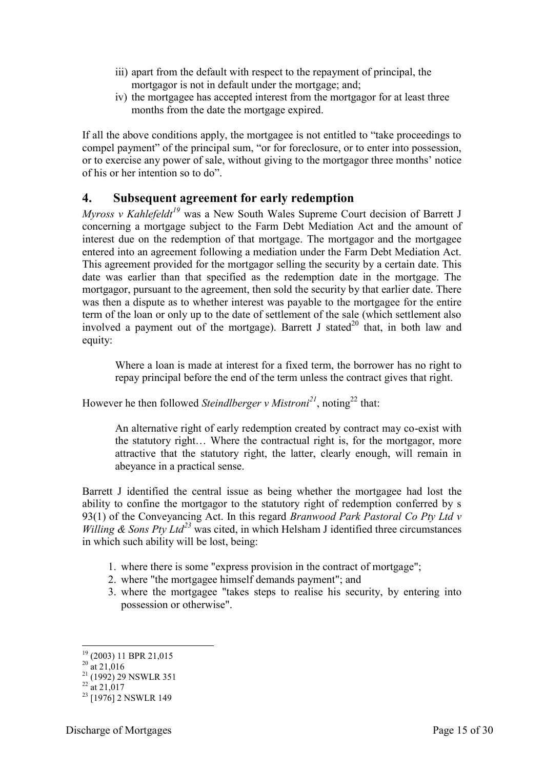- iii) apart from the default with respect to the repayment of principal, the mortgagor is not in default under the mortgage; and;
- iv) the mortgagee has accepted interest from the mortgagor for at least three months from the date the mortgage expired.

If all the above conditions apply, the mortgagee is not entitled to "take proceedings to compel payment" of the principal sum, "or for foreclosure, or to enter into possession, or to exercise any power of sale, without giving to the mortgagor three months' notice of his or her intention so to do".

## <span id="page-14-0"></span>**4. Subsequent agreement for early redemption**

*Myross v Kahlefeldt<sup>19</sup>* was a New South Wales Supreme Court decision of Barrett J concerning a mortgage subject to the Farm Debt Mediation Act and the amount of interest due on the redemption of that mortgage. The mortgagor and the mortgagee entered into an agreement following a mediation under the Farm Debt Mediation Act. This agreement provided for the mortgagor selling the security by a certain date. This date was earlier than that specified as the redemption date in the mortgage. The mortgagor, pursuant to the agreement, then sold the security by that earlier date. There was then a dispute as to whether interest was payable to the mortgagee for the entire term of the loan or only up to the date of settlement of the sale (which settlement also involved a payment out of the mortgage). Barrett J stated<sup>20</sup> that, in both law and equity:

Where a loan is made at interest for a fixed term, the borrower has no right to repay principal before the end of the term unless the contract gives that right.

However he then followed *Steindlberger v Mistroni*<sup>21</sup>, noting<sup>22</sup> that:

An alternative right of early redemption created by contract may co-exist with the statutory right… Where the contractual right is, for the mortgagor, more attractive that the statutory right, the latter, clearly enough, will remain in abeyance in a practical sense.

Barrett J identified the central issue as being whether the mortgagee had lost the ability to confine the mortgagor to the statutory right of redemption conferred by s 93(1) of the Conveyancing Act. In this regard *Branwood Park Pastoral Co Pty Ltd v Willing & Sons Pty Ltd<sup>23</sup>* was cited, in which Helsham J identified three circumstances in which such ability will be lost, being:

- 1. where there is some "express provision in the contract of mortgage";
- 2. where "the mortgagee himself demands payment"; and
- 3. where the mortgagee "takes steps to realise his security, by entering into possession or otherwise".

<sup>-</sup><sup>19</sup> (2003) 11 BPR 21,015

<sup>&</sup>lt;sup>20</sup> at 21,016

 $^{21}$  (1992) 29 NSWLR 351

 $^{22}$  at 21,017

<sup>&</sup>lt;sup>23</sup> [1976] 2 NSWLR 149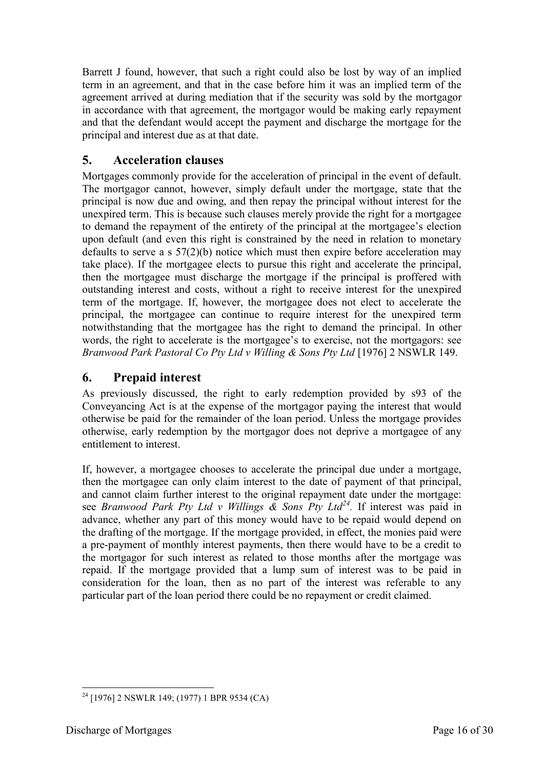Barrett J found, however, that such a right could also be lost by way of an implied term in an agreement, and that in the case before him it was an implied term of the agreement arrived at during mediation that if the security was sold by the mortgagor in accordance with that agreement, the mortgagor would be making early repayment and that the defendant would accept the payment and discharge the mortgage for the principal and interest due as at that date.

## <span id="page-15-0"></span>**5. Acceleration clauses**

Mortgages commonly provide for the acceleration of principal in the event of default. The mortgagor cannot, however, simply default under the mortgage, state that the principal is now due and owing, and then repay the principal without interest for the unexpired term. This is because such clauses merely provide the right for a mortgagee to demand the repayment of the entirety of the principal at the mortgagee's election upon default (and even this right is constrained by the need in relation to monetary defaults to serve a s 57(2)(b) notice which must then expire before acceleration may take place). If the mortgagee elects to pursue this right and accelerate the principal, then the mortgagee must discharge the mortgage if the principal is proffered with outstanding interest and costs, without a right to receive interest for the unexpired term of the mortgage. If, however, the mortgagee does not elect to accelerate the principal, the mortgagee can continue to require interest for the unexpired term notwithstanding that the mortgagee has the right to demand the principal. In other words, the right to accelerate is the mortgagee's to exercise, not the mortgagors: see *Branwood Park Pastoral Co Pty Ltd v Willing & Sons Pty Ltd* [1976] 2 NSWLR 149.

## <span id="page-15-1"></span>**6. Prepaid interest**

As previously discussed, the right to early redemption provided by s93 of the Conveyancing Act is at the expense of the mortgagor paying the interest that would otherwise be paid for the remainder of the loan period. Unless the mortgage provides otherwise, early redemption by the mortgagor does not deprive a mortgagee of any entitlement to interest.

If, however, a mortgagee chooses to accelerate the principal due under a mortgage, then the mortgagee can only claim interest to the date of payment of that principal, and cannot claim further interest to the original repayment date under the mortgage: see *Branwood Park Pty Ltd v Willings & Sons Pty Ltd<sup>24</sup> .* If interest was paid in advance, whether any part of this money would have to be repaid would depend on the drafting of the mortgage. If the mortgage provided, in effect, the monies paid were a pre-payment of monthly interest payments, then there would have to be a credit to the mortgagor for such interest as related to those months after the mortgage was repaid. If the mortgage provided that a lump sum of interest was to be paid in consideration for the loan, then as no part of the interest was referable to any particular part of the loan period there could be no repayment or credit claimed.

<sup>-</sup> $2^{24}$  [1976] 2 NSWLR 149; (1977) 1 BPR 9534 (CA)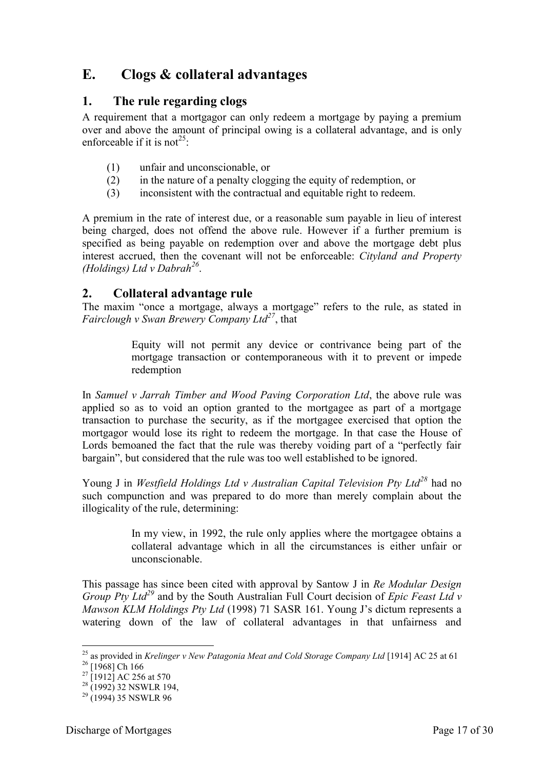# <span id="page-16-0"></span>**E. Clogs & collateral advantages**

## <span id="page-16-1"></span>**1. The rule regarding clogs**

A requirement that a mortgagor can only redeem a mortgage by paying a premium over and above the amount of principal owing is a collateral advantage, and is only enforceable if it is not<sup>25</sup>:

- (1) unfair and unconscionable, or
- (2) in the nature of a penalty clogging the equity of redemption, or
- (3) inconsistent with the contractual and equitable right to redeem.

A premium in the rate of interest due, or a reasonable sum payable in lieu of interest being charged, does not offend the above rule. However if a further premium is specified as being payable on redemption over and above the mortgage debt plus interest accrued, then the covenant will not be enforceable: *Cityland and Property (Holdings) Ltd v Dabrah<sup>26</sup>* .

#### <span id="page-16-2"></span>**2. Collateral advantage rule**

The maxim "once a mortgage, always a mortgage" refers to the rule, as stated in *Fairclough v Swan Brewery Company Ltd<sup>27</sup>*, that

> Equity will not permit any device or contrivance being part of the mortgage transaction or contemporaneous with it to prevent or impede redemption

In *Samuel v Jarrah Timber and Wood Paving Corporation Ltd*, the above rule was applied so as to void an option granted to the mortgagee as part of a mortgage transaction to purchase the security, as if the mortgagee exercised that option the mortgagor would lose its right to redeem the mortgage. In that case the House of Lords bemoaned the fact that the rule was thereby voiding part of a "perfectly fair bargain", but considered that the rule was too well established to be ignored.

Young J in *Westfield Holdings Ltd v Australian Capital Television Pty Ltd<sup>28</sup>* had no such compunction and was prepared to do more than merely complain about the illogicality of the rule, determining:

> In my view, in 1992, the rule only applies where the mortgagee obtains a collateral advantage which in all the circumstances is either unfair or unconscionable.

This passage has since been cited with approval by Santow J in *Re Modular Design Group Pty Ltd<sup>29</sup>* and by the South Australian Full Court decision of *Epic Feast Ltd v Mawson KLM Holdings Pty Ltd* (1998) 71 SASR 161. Young J's dictum represents a watering down of the law of collateral advantages in that unfairness and

-

<sup>25</sup> as provided in *Krelinger v New Patagonia Meat and Cold Storage Company Ltd* [1914] AC 25 at 61

 $^{26}$  [1968] Ch 166

 $^{27}$  [1912] AC 256 at 570

 $28$  (1992) 32 NSWLR 194,

 $^{29}$  (1994) 35 NSWLR 96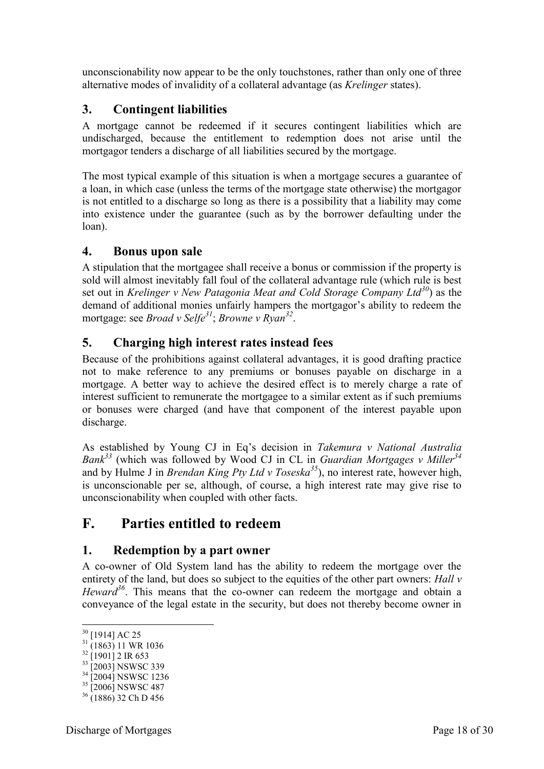unconscionability now appear to be the only touchstones, rather than only one of three alternative modes of invalidity of a collateral advantage (as *Krelinger* states).

## <span id="page-17-0"></span>**3. Contingent liabilities**

A mortgage cannot be redeemed if it secures contingent liabilities which are undischarged, because the entitlement to redemption does not arise until the mortgagor tenders a discharge of all liabilities secured by the mortgage.

The most typical example of this situation is when a mortgage secures a guarantee of a loan, in which case (unless the terms of the mortgage state otherwise) the mortgagor is not entitled to a discharge so long as there is a possibility that a liability may come into existence under the guarantee (such as by the borrower defaulting under the loan).

## <span id="page-17-1"></span>**4. Bonus upon sale**

A stipulation that the mortgagee shall receive a bonus or commission if the property is sold will almost inevitably fall foul of the collateral advantage rule (which rule is best set out in *Krelinger v New Patagonia Meat and Cold Storage Company Ltd<sup>30</sup>*) as the demand of additional monies unfairly hampers the mortgagor's ability to redeem the mortgage: see *Broad v Selfe<sup>31</sup>*; *Browne v Ryan<sup>32</sup>* .

## <span id="page-17-2"></span>**5. Charging high interest rates instead fees**

Because of the prohibitions against collateral advantages, it is good drafting practice not to make reference to any premiums or bonuses payable on discharge in a mortgage. A better way to achieve the desired effect is to merely charge a rate of interest sufficient to remunerate the mortgagee to a similar extent as if such premiums or bonuses were charged (and have that component of the interest payable upon discharge.

As established by Young CJ in Eq's decision in *Takemura v National Australia Bank<sup>33</sup>* (which was followed by Wood CJ in CL in *Guardian Mortgages v Miller<sup>34</sup>* and by Hulme J in *Brendan King Pty Ltd v Toseska<sup>35</sup>*), no interest rate, however high, is unconscionable per se, although, of course, a high interest rate may give rise to unconscionability when coupled with other facts.

# <span id="page-17-3"></span>**F. Parties entitled to redeem**

## <span id="page-17-4"></span>**1. Redemption by a part owner**

A co-owner of Old System land has the ability to redeem the mortgage over the entirety of the land, but does so subject to the equities of the other part owners: *Hall v Heward*<sup>36</sup>. This means that the co-owner can redeem the mortgage and obtain a conveyance of the legal estate in the security, but does not thereby become owner in

<sup>&</sup>lt;u>.</u>  $30$  [1914] AC 25

 $31\frac{12347 \times 1000}{(1863) 11}$  WR 1036

 $32$  [1901] 2 IR 653

<sup>&</sup>lt;sup>33</sup> [2003] NSWSC 339

<sup>&</sup>lt;sup>34</sup> [2004] NSWSC 1236

<sup>&</sup>lt;sup>35</sup> [2006] NSWSC 487

 $36$  (1886) 32 Ch D 456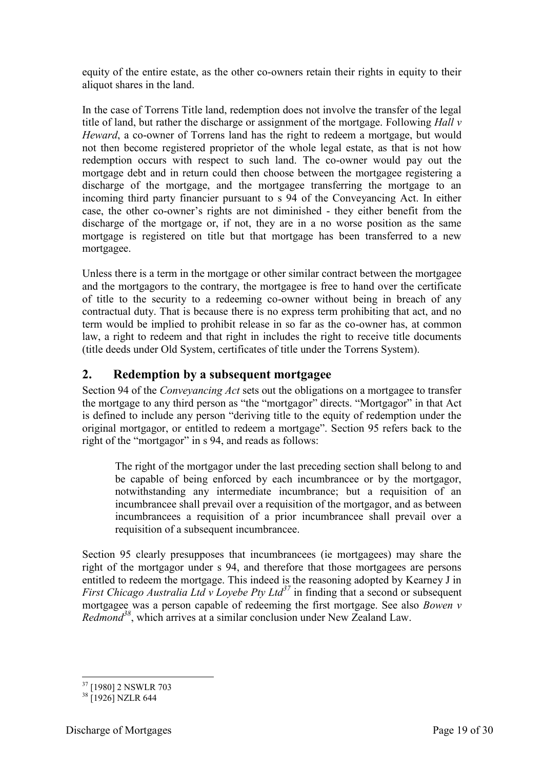equity of the entire estate, as the other co-owners retain their rights in equity to their aliquot shares in the land.

In the case of Torrens Title land, redemption does not involve the transfer of the legal title of land, but rather the discharge or assignment of the mortgage. Following *Hall v Heward*, a co-owner of Torrens land has the right to redeem a mortgage, but would not then become registered proprietor of the whole legal estate, as that is not how redemption occurs with respect to such land. The co-owner would pay out the mortgage debt and in return could then choose between the mortgagee registering a discharge of the mortgage, and the mortgagee transferring the mortgage to an incoming third party financier pursuant to s 94 of the Conveyancing Act. In either case, the other co-owner's rights are not diminished - they either benefit from the discharge of the mortgage or, if not, they are in a no worse position as the same mortgage is registered on title but that mortgage has been transferred to a new mortgagee.

Unless there is a term in the mortgage or other similar contract between the mortgagee and the mortgagors to the contrary, the mortgagee is free to hand over the certificate of title to the security to a redeeming co-owner without being in breach of any contractual duty. That is because there is no express term prohibiting that act, and no term would be implied to prohibit release in so far as the co-owner has, at common law, a right to redeem and that right in includes the right to receive title documents (title deeds under Old System, certificates of title under the Torrens System).

## <span id="page-18-0"></span>**2. Redemption by a subsequent mortgagee**

Section 94 of the *Conveyancing Act* sets out the obligations on a mortgagee to transfer the mortgage to any third person as "the "mortgagor" directs. "Mortgagor" in that Act is defined to include any person "deriving title to the equity of redemption under the original mortgagor, or entitled to redeem a mortgage". Section 95 refers back to the right of the "mortgagor" in s 94, and reads as follows:

The right of the mortgagor under the last preceding section shall belong to and be capable of being enforced by each incumbrancee or by the mortgagor, notwithstanding any intermediate incumbrance; but a requisition of an incumbrancee shall prevail over a requisition of the mortgagor, and as between incumbrancees a requisition of a prior incumbrancee shall prevail over a requisition of a subsequent incumbrancee.

Section 95 clearly presupposes that incumbrancees (ie mortgagees) may share the right of the mortgagor under s 94, and therefore that those mortgagees are persons entitled to redeem the mortgage. This indeed is the reasoning adopted by Kearney J in *First Chicago Australia Ltd v Lovebe Pty Ltd*<sup>37</sup> in finding that a second or subsequent mortgagee was a person capable of redeeming the first mortgage. See also *Bowen v Redmond<sup>38</sup>*, which arrives at a similar conclusion under New Zealand Law.

<sup>-</sup><sup>37</sup> [1980] 2 NSWLR 703

<sup>&</sup>lt;sup>38</sup> [1926] NZLR 644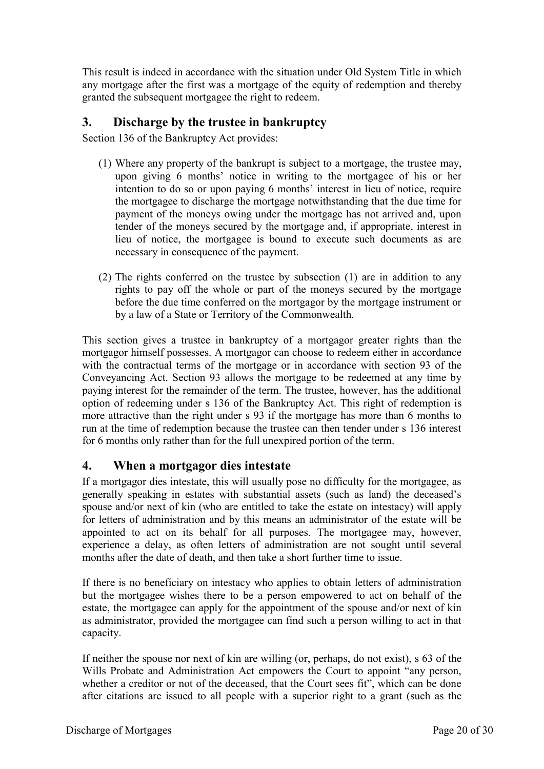This result is indeed in accordance with the situation under Old System Title in which any mortgage after the first was a mortgage of the equity of redemption and thereby granted the subsequent mortgagee the right to redeem.

## <span id="page-19-0"></span>**3. Discharge by the trustee in bankruptcy**

Section 136 of the Bankruptcy Act provides:

- (1) Where any property of the bankrupt is subject to a mortgage, the trustee may, upon giving 6 months' notice in writing to the mortgagee of his or her intention to do so or upon paying 6 months' interest in lieu of notice, require the mortgagee to discharge the mortgage notwithstanding that the due time for payment of the moneys owing under the mortgage has not arrived and, upon tender of the moneys secured by the mortgage and, if appropriate, interest in lieu of notice, the mortgagee is bound to execute such documents as are necessary in consequence of the payment.
- (2) The rights conferred on the trustee by subsection (1) are in addition to any rights to pay off the whole or part of the moneys secured by the mortgage before the due time conferred on the mortgagor by the mortgage instrument or by a law of a State or Territory of the Commonwealth.

This section gives a trustee in bankruptcy of a mortgagor greater rights than the mortgagor himself possesses. A mortgagor can choose to redeem either in accordance with the contractual terms of the mortgage or in accordance with section 93 of the Conveyancing Act. Section 93 allows the mortgage to be redeemed at any time by paying interest for the remainder of the term. The trustee, however, has the additional option of redeeming under s 136 of the Bankruptcy Act. This right of redemption is more attractive than the right under s 93 if the mortgage has more than 6 months to run at the time of redemption because the trustee can then tender under s 136 interest for 6 months only rather than for the full unexpired portion of the term.

#### <span id="page-19-1"></span>**4. When a mortgagor dies intestate**

If a mortgagor dies intestate, this will usually pose no difficulty for the mortgagee, as generally speaking in estates with substantial assets (such as land) the deceased's spouse and/or next of kin (who are entitled to take the estate on intestacy) will apply for letters of administration and by this means an administrator of the estate will be appointed to act on its behalf for all purposes. The mortgagee may, however, experience a delay, as often letters of administration are not sought until several months after the date of death, and then take a short further time to issue.

If there is no beneficiary on intestacy who applies to obtain letters of administration but the mortgagee wishes there to be a person empowered to act on behalf of the estate, the mortgagee can apply for the appointment of the spouse and/or next of kin as administrator, provided the mortgagee can find such a person willing to act in that capacity.

If neither the spouse nor next of kin are willing (or, perhaps, do not exist), s 63 of the Wills Probate and Administration Act empowers the Court to appoint "any person, whether a creditor or not of the deceased, that the Court sees fit", which can be done after citations are issued to all people with a superior right to a grant (such as the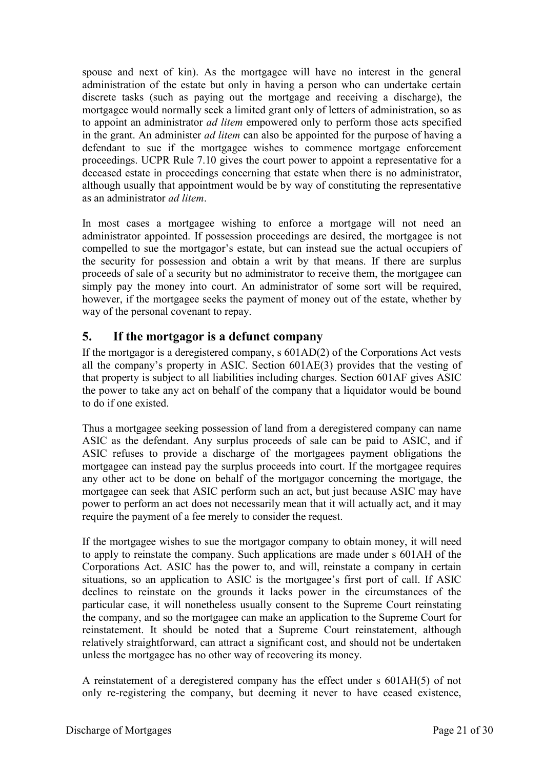spouse and next of kin). As the mortgagee will have no interest in the general administration of the estate but only in having a person who can undertake certain discrete tasks (such as paying out the mortgage and receiving a discharge), the mortgagee would normally seek a limited grant only of letters of administration, so as to appoint an administrator *ad litem* empowered only to perform those acts specified in the grant. An administer *ad litem* can also be appointed for the purpose of having a defendant to sue if the mortgagee wishes to commence mortgage enforcement proceedings. UCPR Rule 7.10 gives the court power to appoint a representative for a deceased estate in proceedings concerning that estate when there is no administrator, although usually that appointment would be by way of constituting the representative as an administrator *ad litem*.

In most cases a mortgagee wishing to enforce a mortgage will not need an administrator appointed. If possession proceedings are desired, the mortgagee is not compelled to sue the mortgagor's estate, but can instead sue the actual occupiers of the security for possession and obtain a writ by that means. If there are surplus proceeds of sale of a security but no administrator to receive them, the mortgagee can simply pay the money into court. An administrator of some sort will be required, however, if the mortgagee seeks the payment of money out of the estate, whether by way of the personal covenant to repay.

## <span id="page-20-0"></span>**5. If the mortgagor is a defunct company**

If the mortgagor is a deregistered company, s 601AD(2) of the Corporations Act vests all the company's property in ASIC. Section 601AE(3) provides that the vesting of that property is subject to all liabilities including charges. Section 601AF gives ASIC the power to take any act on behalf of the company that a liquidator would be bound to do if one existed.

Thus a mortgagee seeking possession of land from a deregistered company can name ASIC as the defendant. Any surplus proceeds of sale can be paid to ASIC, and if ASIC refuses to provide a discharge of the mortgagees payment obligations the mortgagee can instead pay the surplus proceeds into court. If the mortgagee requires any other act to be done on behalf of the mortgagor concerning the mortgage, the mortgagee can seek that ASIC perform such an act, but just because ASIC may have power to perform an act does not necessarily mean that it will actually act, and it may require the payment of a fee merely to consider the request.

If the mortgagee wishes to sue the mortgagor company to obtain money, it will need to apply to reinstate the company. Such applications are made under s 601AH of the Corporations Act. ASIC has the power to, and will, reinstate a company in certain situations, so an application to ASIC is the mortgagee's first port of call. If ASIC declines to reinstate on the grounds it lacks power in the circumstances of the particular case, it will nonetheless usually consent to the Supreme Court reinstating the company, and so the mortgagee can make an application to the Supreme Court for reinstatement. It should be noted that a Supreme Court reinstatement, although relatively straightforward, can attract a significant cost, and should not be undertaken unless the mortgagee has no other way of recovering its money.

A reinstatement of a deregistered company has the effect under s 601AH(5) of not only re-registering the company, but deeming it never to have ceased existence,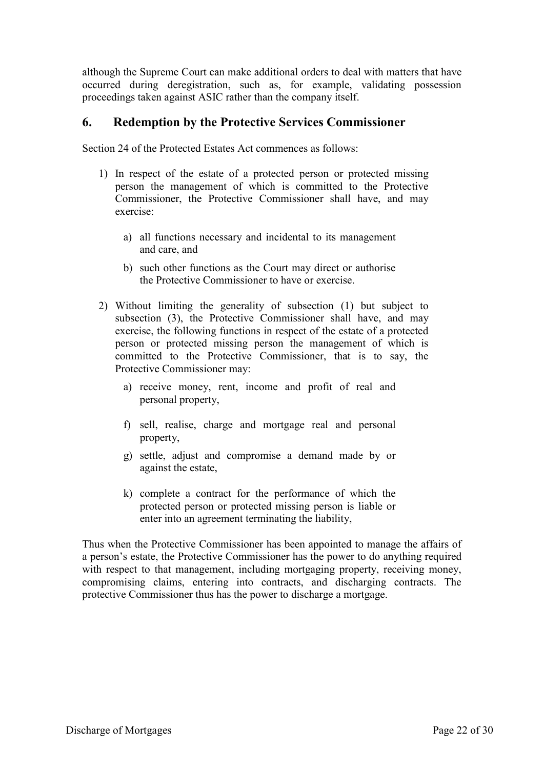although the Supreme Court can make additional orders to deal with matters that have occurred during deregistration, such as, for example, validating possession proceedings taken against ASIC rather than the company itself.

#### <span id="page-21-0"></span>**6. Redemption by the Protective Services Commissioner**

Section 24 of the Protected Estates Act commences as follows:

- 1) In respect of the estate of a protected person or protected missing person the management of which is committed to the Protective Commissioner, the Protective Commissioner shall have, and may exercise:
	- a) all functions necessary and incidental to its management and care, and
	- b) such other functions as the Court may direct or authorise the Protective Commissioner to have or exercise.
- 2) Without limiting the generality of subsection (1) but subject to subsection (3), the Protective Commissioner shall have, and may exercise, the following functions in respect of the estate of a protected person or protected missing person the management of which is committed to the Protective Commissioner, that is to say, the Protective Commissioner may:
	- a) receive money, rent, income and profit of real and personal property,
	- f) sell, realise, charge and mortgage real and personal property,
	- g) settle, adjust and compromise a demand made by or against the estate,
	- k) complete a contract for the performance of which the protected person or protected missing person is liable or enter into an agreement terminating the liability,

Thus when the Protective Commissioner has been appointed to manage the affairs of a person's estate, the Protective Commissioner has the power to do anything required with respect to that management, including mortgaging property, receiving money, compromising claims, entering into contracts, and discharging contracts. The protective Commissioner thus has the power to discharge a mortgage.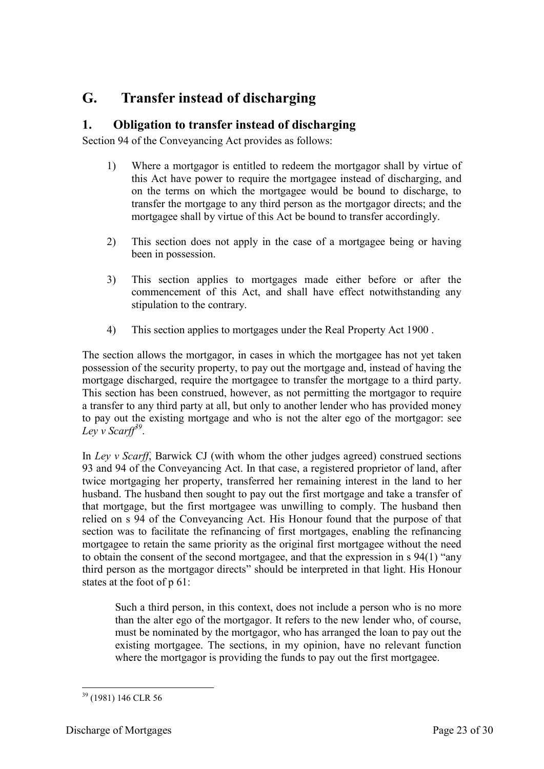# <span id="page-22-0"></span>**G. Transfer instead of discharging**

## <span id="page-22-1"></span>**1. Obligation to transfer instead of discharging**

Section 94 of the Conveyancing Act provides as follows:

- 1) Where a mortgagor is entitled to redeem the mortgagor shall by virtue of this Act have power to require the mortgagee instead of discharging, and on the terms on which the mortgagee would be bound to discharge, to transfer the mortgage to any third person as the mortgagor directs; and the mortgagee shall by virtue of this Act be bound to transfer accordingly.
- 2) This section does not apply in the case of a mortgagee being or having been in possession.
- 3) This section applies to mortgages made either before or after the commencement of this Act, and shall have effect notwithstanding any stipulation to the contrary.
- 4) This section applies to mortgages under the Real Property Act 1900 .

The section allows the mortgagor, in cases in which the mortgagee has not yet taken possession of the security property, to pay out the mortgage and, instead of having the mortgage discharged, require the mortgagee to transfer the mortgage to a third party. This section has been construed, however, as not permitting the mortgagor to require a transfer to any third party at all, but only to another lender who has provided money to pay out the existing mortgage and who is not the alter ego of the mortgagor: see *Ley v Scarff<sup>39</sup>* .

In *Ley v Scarff*, Barwick CJ (with whom the other judges agreed) construed sections 93 and 94 of the Conveyancing Act. In that case, a registered proprietor of land, after twice mortgaging her property, transferred her remaining interest in the land to her husband. The husband then sought to pay out the first mortgage and take a transfer of that mortgage, but the first mortgagee was unwilling to comply. The husband then relied on s 94 of the Conveyancing Act. His Honour found that the purpose of that section was to facilitate the refinancing of first mortgages, enabling the refinancing mortgagee to retain the same priority as the original first mortgagee without the need to obtain the consent of the second mortgagee, and that the expression in s 94(1) "any third person as the mortgagor directs" should be interpreted in that light. His Honour states at the foot of p 61:

Such a third person, in this context, does not include a person who is no more than the alter ego of the mortgagor. It refers to the new lender who, of course, must be nominated by the mortgagor, who has arranged the loan to pay out the existing mortgagee. The sections, in my opinion, have no relevant function where the mortgagor is providing the funds to pay out the first mortgagee.

<sup>-</sup><sup>39</sup> (1981) 146 CLR 56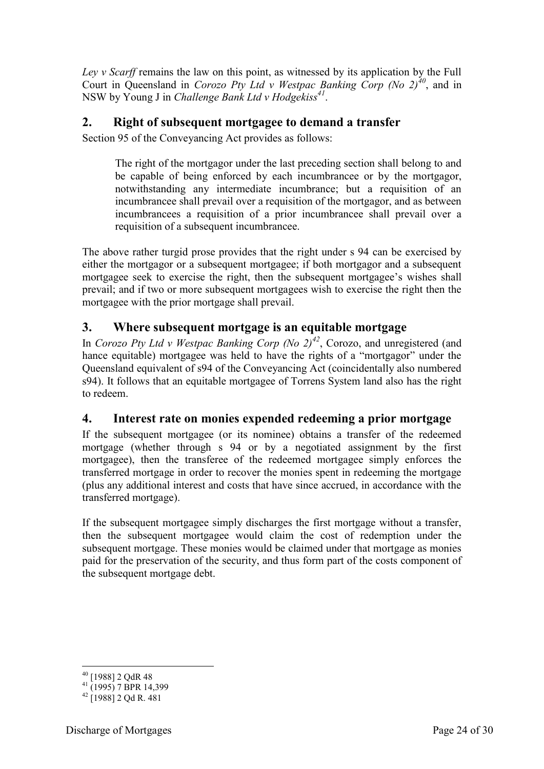*Ley v Scarff* remains the law on this point, as witnessed by its application by the Full Court in Queensland in *Corozo Pty Ltd v Westpac Banking Corp (No 2)<sup>40</sup>*, and in NSW by Young J in *Challenge Bank Ltd v Hodgekiss<sup>41</sup>* .

#### <span id="page-23-0"></span>**2. Right of subsequent mortgagee to demand a transfer**

Section 95 of the Conveyancing Act provides as follows:

The right of the mortgagor under the last preceding section shall belong to and be capable of being enforced by each incumbrancee or by the mortgagor, notwithstanding any intermediate incumbrance; but a requisition of an incumbrancee shall prevail over a requisition of the mortgagor, and as between incumbrancees a requisition of a prior incumbrancee shall prevail over a requisition of a subsequent incumbrancee.

The above rather turgid prose provides that the right under s 94 can be exercised by either the mortgagor or a subsequent mortgagee; if both mortgagor and a subsequent mortgagee seek to exercise the right, then the subsequent mortgagee's wishes shall prevail; and if two or more subsequent mortgagees wish to exercise the right then the mortgagee with the prior mortgage shall prevail.

## <span id="page-23-1"></span>**3. Where subsequent mortgage is an equitable mortgage**

In *Corozo Pty Ltd v Westpac Banking Corp (No 2)<sup>42</sup>*, Corozo, and unregistered (and hance equitable) mortgagee was held to have the rights of a "mortgagor" under the Queensland equivalent of s94 of the Conveyancing Act (coincidentally also numbered s94). It follows that an equitable mortgagee of Torrens System land also has the right to redeem.

#### <span id="page-23-2"></span>**4. Interest rate on monies expended redeeming a prior mortgage**

If the subsequent mortgagee (or its nominee) obtains a transfer of the redeemed mortgage (whether through s 94 or by a negotiated assignment by the first mortgagee), then the transferee of the redeemed mortgagee simply enforces the transferred mortgage in order to recover the monies spent in redeeming the mortgage (plus any additional interest and costs that have since accrued, in accordance with the transferred mortgage).

If the subsequent mortgagee simply discharges the first mortgage without a transfer, then the subsequent mortgagee would claim the cost of redemption under the subsequent mortgage. These monies would be claimed under that mortgage as monies paid for the preservation of the security, and thus form part of the costs component of the subsequent mortgage debt.

<sup>-</sup><sup>40</sup> [1988] 2 QdR 48

 $^{41}$  (1995) 7 BPR 14,399

 $42$  [1988] 2 Od R. 481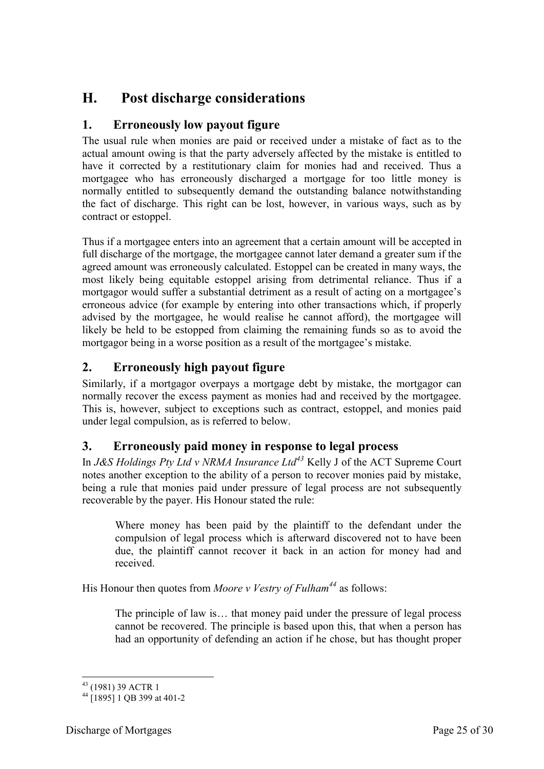# <span id="page-24-0"></span>**H. Post discharge considerations**

## <span id="page-24-1"></span>**1. Erroneously low payout figure**

The usual rule when monies are paid or received under a mistake of fact as to the actual amount owing is that the party adversely affected by the mistake is entitled to have it corrected by a restitutionary claim for monies had and received. Thus a mortgagee who has erroneously discharged a mortgage for too little money is normally entitled to subsequently demand the outstanding balance notwithstanding the fact of discharge. This right can be lost, however, in various ways, such as by contract or estoppel.

Thus if a mortgagee enters into an agreement that a certain amount will be accepted in full discharge of the mortgage, the mortgagee cannot later demand a greater sum if the agreed amount was erroneously calculated. Estoppel can be created in many ways, the most likely being equitable estoppel arising from detrimental reliance. Thus if a mortgagor would suffer a substantial detriment as a result of acting on a mortgagee's erroneous advice (for example by entering into other transactions which, if properly advised by the mortgagee, he would realise he cannot afford), the mortgagee will likely be held to be estopped from claiming the remaining funds so as to avoid the mortgagor being in a worse position as a result of the mortgagee's mistake.

## <span id="page-24-2"></span>**2. Erroneously high payout figure**

Similarly, if a mortgagor overpays a mortgage debt by mistake, the mortgagor can normally recover the excess payment as monies had and received by the mortgagee. This is, however, subject to exceptions such as contract, estoppel, and monies paid under legal compulsion, as is referred to below.

## <span id="page-24-3"></span>**3. Erroneously paid money in response to legal process**

In *J&S Holdings Pty Ltd v NRMA Insurance Ltd<sup>43</sup>* Kelly J of the ACT Supreme Court notes another exception to the ability of a person to recover monies paid by mistake, being a rule that monies paid under pressure of legal process are not subsequently recoverable by the payer. His Honour stated the rule:

Where money has been paid by the plaintiff to the defendant under the compulsion of legal process which is afterward discovered not to have been due, the plaintiff cannot recover it back in an action for money had and received.

His Honour then quotes from *Moore v Vestry of Fulham<sup>44</sup>* as follows:

The principle of law is… that money paid under the pressure of legal process cannot be recovered. The principle is based upon this, that when a person has had an opportunity of defending an action if he chose, but has thought proper

<sup>-</sup><sup>43</sup> (1981) 39 ACTR 1

<sup>44</sup> [1895] 1 QB 399 at 401-2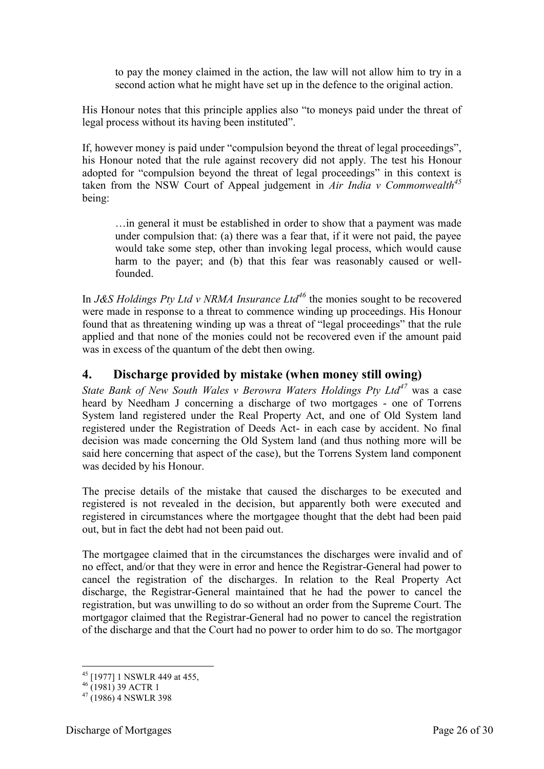to pay the money claimed in the action, the law will not allow him to try in a second action what he might have set up in the defence to the original action.

His Honour notes that this principle applies also "to moneys paid under the threat of legal process without its having been instituted".

If, however money is paid under "compulsion beyond the threat of legal proceedings", his Honour noted that the rule against recovery did not apply. The test his Honour adopted for "compulsion beyond the threat of legal proceedings" in this context is taken from the NSW Court of Appeal judgement in *Air India v Commonwealth<sup>45</sup>* being:

…in general it must be established in order to show that a payment was made under compulsion that: (a) there was a fear that, if it were not paid, the payee would take some step, other than invoking legal process, which would cause harm to the payer; and (b) that this fear was reasonably caused or wellfounded.

In *J&S Holdings Pty Ltd v NRMA Insurance Ltd<sup>46</sup>* the monies sought to be recovered were made in response to a threat to commence winding up proceedings. His Honour found that as threatening winding up was a threat of "legal proceedings" that the rule applied and that none of the monies could not be recovered even if the amount paid was in excess of the quantum of the debt then owing.

## <span id="page-25-0"></span>**4. Discharge provided by mistake (when money still owing)**

*State Bank of New South Wales v Berowra Waters Holdings Pty Ltd<sup>47</sup>* was a case heard by Needham J concerning a discharge of two mortgages - one of Torrens System land registered under the Real Property Act, and one of Old System land registered under the Registration of Deeds Act- in each case by accident. No final decision was made concerning the Old System land (and thus nothing more will be said here concerning that aspect of the case), but the Torrens System land component was decided by his Honour.

The precise details of the mistake that caused the discharges to be executed and registered is not revealed in the decision, but apparently both were executed and registered in circumstances where the mortgagee thought that the debt had been paid out, but in fact the debt had not been paid out.

The mortgagee claimed that in the circumstances the discharges were invalid and of no effect, and/or that they were in error and hence the Registrar-General had power to cancel the registration of the discharges. In relation to the Real Property Act discharge, the Registrar-General maintained that he had the power to cancel the registration, but was unwilling to do so without an order from the Supreme Court. The mortgagor claimed that the Registrar-General had no power to cancel the registration of the discharge and that the Court had no power to order him to do so. The mortgagor

<sup>-</sup><sup>45</sup> [1977] 1 NSWLR 449 at 455,

 $^{46}$  (1981) 39 ACTR 1

 $47(1986)$  4 NSWLR 398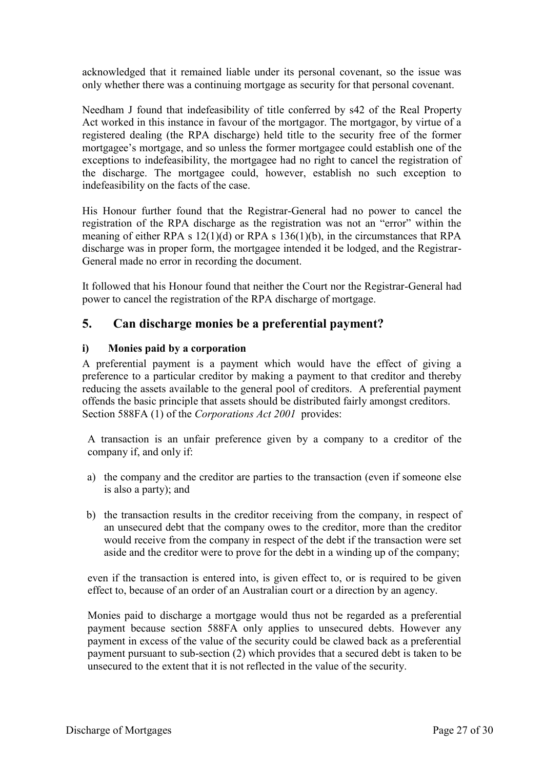acknowledged that it remained liable under its personal covenant, so the issue was only whether there was a continuing mortgage as security for that personal covenant.

Needham J found that indefeasibility of title conferred by s42 of the Real Property Act worked in this instance in favour of the mortgagor. The mortgagor, by virtue of a registered dealing (the RPA discharge) held title to the security free of the former mortgagee's mortgage, and so unless the former mortgagee could establish one of the exceptions to indefeasibility, the mortgagee had no right to cancel the registration of the discharge. The mortgagee could, however, establish no such exception to indefeasibility on the facts of the case.

His Honour further found that the Registrar-General had no power to cancel the registration of the RPA discharge as the registration was not an "error" within the meaning of either RPA s 12(1)(d) or RPA s 136(1)(b), in the circumstances that RPA discharge was in proper form, the mortgagee intended it be lodged, and the Registrar-General made no error in recording the document.

It followed that his Honour found that neither the Court nor the Registrar-General had power to cancel the registration of the RPA discharge of mortgage.

#### <span id="page-26-0"></span>**5. Can discharge monies be a preferential payment?**

#### <span id="page-26-1"></span>**i) Monies paid by a corporation**

A preferential payment is a payment which would have the effect of giving a preference to a particular creditor by making a payment to that creditor and thereby reducing the assets available to the general pool of creditors. A preferential payment offends the basic principle that assets should be distributed fairly amongst creditors. Section 588FA (1) of the *Corporations Act 2001* provides:

A transaction is an unfair preference given by a company to a creditor of the company if, and only if:

- a) the company and the creditor are parties to the transaction (even if someone else is also a party); and
- b) the transaction results in the creditor receiving from the company, in respect of an unsecured debt that the company owes to the creditor, more than the creditor would receive from the company in respect of the debt if the transaction were set aside and the creditor were to prove for the debt in a winding up of the company;

even if the transaction is entered into, is given effect to, or is required to be given effect to, because of an order of an Australian court or a direction by an agency.

Monies paid to discharge a mortgage would thus not be regarded as a preferential payment because section 588FA only applies to unsecured debts. However any payment in excess of the value of the security could be clawed back as a preferential payment pursuant to sub-section (2) which provides that a secured debt is taken to be unsecured to the extent that it is not reflected in the value of the security.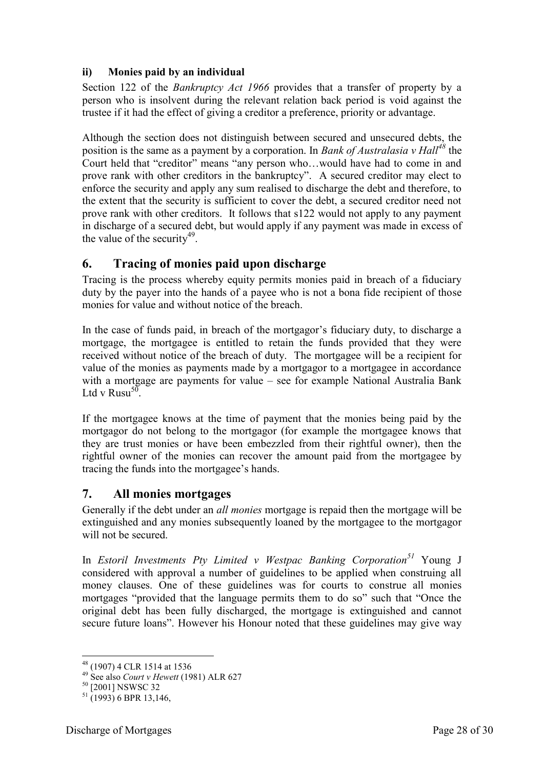#### <span id="page-27-0"></span>**ii) Monies paid by an individual**

Section 122 of the *Bankruptcy Act 1966* provides that a transfer of property by a person who is insolvent during the relevant relation back period is void against the trustee if it had the effect of giving a creditor a preference, priority or advantage.

Although the section does not distinguish between secured and unsecured debts, the position is the same as a payment by a corporation. In *Bank of Australasia v Hall<sup>48</sup>* the Court held that "creditor" means "any person who…would have had to come in and prove rank with other creditors in the bankruptcy". A secured creditor may elect to enforce the security and apply any sum realised to discharge the debt and therefore, to the extent that the security is sufficient to cover the debt, a secured creditor need not prove rank with other creditors. It follows that s122 would not apply to any payment in discharge of a secured debt, but would apply if any payment was made in excess of the value of the security<sup>49</sup>.

#### <span id="page-27-1"></span>**6. Tracing of monies paid upon discharge**

Tracing is the process whereby equity permits monies paid in breach of a fiduciary duty by the payer into the hands of a payee who is not a bona fide recipient of those monies for value and without notice of the breach.

In the case of funds paid, in breach of the mortgagor's fiduciary duty, to discharge a mortgage, the mortgagee is entitled to retain the funds provided that they were received without notice of the breach of duty. The mortgagee will be a recipient for value of the monies as payments made by a mortgagor to a mortgagee in accordance with a mortgage are payments for value – see for example National Australia Bank Ltd v Rusu<sup>50</sup>.

If the mortgagee knows at the time of payment that the monies being paid by the mortgagor do not belong to the mortgagor (for example the mortgagee knows that they are trust monies or have been embezzled from their rightful owner), then the rightful owner of the monies can recover the amount paid from the mortgagee by tracing the funds into the mortgagee's hands.

#### <span id="page-27-2"></span>**7. All monies mortgages**

Generally if the debt under an *all monies* mortgage is repaid then the mortgage will be extinguished and any monies subsequently loaned by the mortgagee to the mortgagor will not be secured.

In *Estoril Investments Pty Limited v Westpac Banking Corporation<sup>51</sup>* Young J considered with approval a number of guidelines to be applied when construing all money clauses. One of these guidelines was for courts to construe all monies mortgages "provided that the language permits them to do so" such that "Once the original debt has been fully discharged, the mortgage is extinguished and cannot secure future loans". However his Honour noted that these guidelines may give way

-

<sup>&</sup>lt;sup>48</sup> (1907) 4 CLR 1514 at 1536

<sup>49</sup> See also *Court v Hewett* (1981) ALR 627

<sup>&</sup>lt;sup>50</sup> [2001] NSWSC 32

 $51(1993)$  6 BPR 13,146.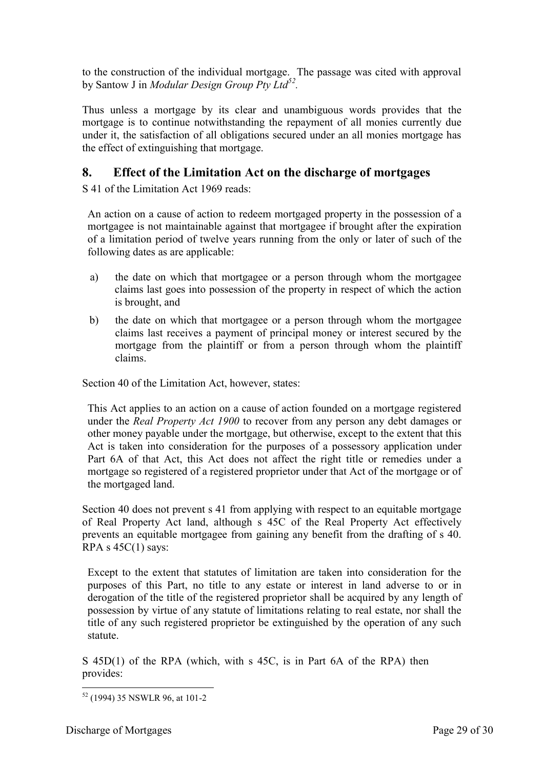to the construction of the individual mortgage. The passage was cited with approval by Santow J in *Modular Design Group Pty Ltd<sup>52</sup> .*

Thus unless a mortgage by its clear and unambiguous words provides that the mortgage is to continue notwithstanding the repayment of all monies currently due under it, the satisfaction of all obligations secured under an all monies mortgage has the effect of extinguishing that mortgage.

## <span id="page-28-0"></span>**8. Effect of the Limitation Act on the discharge of mortgages**

S 41 of the Limitation Act 1969 reads:

An action on a cause of action to redeem mortgaged property in the possession of a mortgagee is not maintainable against that mortgagee if brought after the expiration of a limitation period of twelve years running from the only or later of such of the following dates as are applicable:

- a) the date on which that mortgagee or a person through whom the mortgagee claims last goes into possession of the property in respect of which the action is brought, and
- b) the date on which that mortgagee or a person through whom the mortgagee claims last receives a payment of principal money or interest secured by the mortgage from the plaintiff or from a person through whom the plaintiff claims.

Section 40 of the Limitation Act, however, states:

This Act applies to an action on a cause of action founded on a mortgage registered under the *Real Property Act 1900* to recover from any person any debt damages or other money payable under the mortgage, but otherwise, except to the extent that this Act is taken into consideration for the purposes of a possessory application under Part 6A of that Act, this Act does not affect the right title or remedies under a mortgage so registered of a registered proprietor under that Act of the mortgage or of the mortgaged land.

Section 40 does not prevent s 41 from applying with respect to an equitable mortgage of Real Property Act land, although s 45C of the Real Property Act effectively prevents an equitable mortgagee from gaining any benefit from the drafting of s 40. RPA s  $45C(1)$  says:

Except to the extent that statutes of limitation are taken into consideration for the purposes of this Part, no title to any estate or interest in land adverse to or in derogation of the title of the registered proprietor shall be acquired by any length of possession by virtue of any statute of limitations relating to real estate, nor shall the title of any such registered proprietor be extinguished by the operation of any such statute.

S 45D(1) of the RPA (which, with s 45C, is in Part 6A of the RPA) then provides:

<sup>-</sup><sup>52</sup> (1994) 35 NSWLR 96, at 101-2